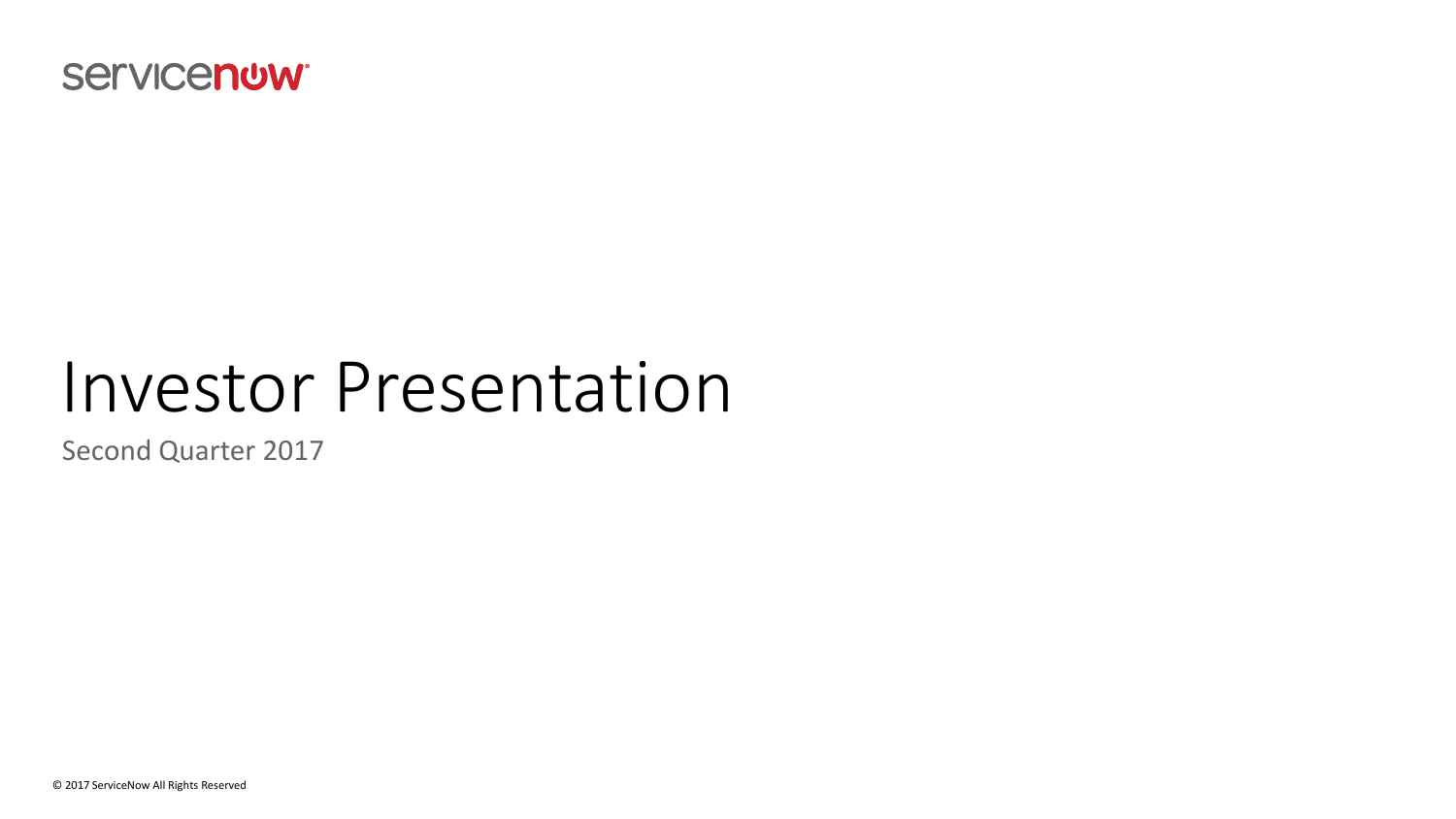

# Investor Presentation

Second Quarter 2017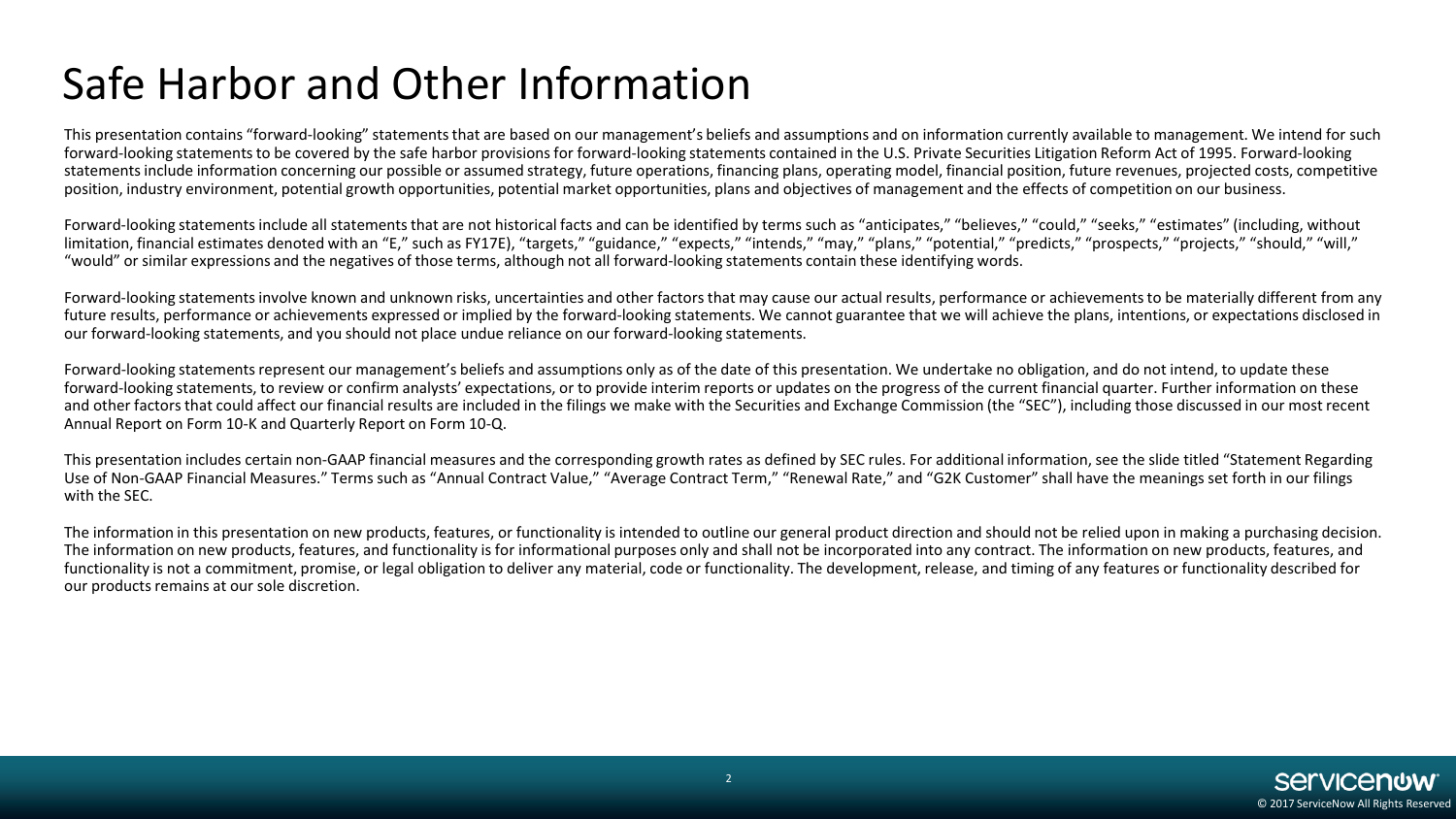# Safe Harbor and Other Information

This presentation contains "forward‐looking" statements that are based on our management's beliefs and assumptions and on information currently available to management. We intend for such forward‐looking statements to be covered by the safe harbor provisions for forward‐looking statements contained in the U.S. Private Securities Litigation Reform Act of 1995. Forward‐looking statements include information concerning our possible or assumed strategy, future operations, financing plans, operating model, financial position, future revenues, projected costs, competitive position, industry environment, potential growth opportunities, potential market opportunities, plans and objectives of management and the effects of competition on our business.

Forward-looking statements include all statements that are not historical facts and can be identified by terms such as "anticipates," "believes," "could," "seeks," "estimates" (including, without limitation, financial estimates denoted with an "E," such as FY17E), "targets," "guidance," "expects," "intends," "may," "plans," "plans," "predicts," "prospects," "projects," "should," "will," "would" or similar expressions and the negatives of those terms, although not all forward‐looking statements contain these identifying words.

Forward-looking statements involve known and unknown risks, uncertainties and other factors that may cause our actual results, performance or achievements to be materially different from any future results, performance or achievements expressed or implied by the forward-looking statements. We cannot guarantee that we will achieve the plans, intentions, or expectations disclosed in our forward‐looking statements, and you should not place undue reliance on our forward‐looking statements.

Forward-looking statements represent our management's beliefs and assumptions only as of the date of this presentation. We undertake no obligation, and do not intend, to update these forward-looking statements, to review or confirm analysts' expectations, or to provide interim reports or updates on the progress of the current financial quarter. Further information on these and other factors that could affect our financial results are included in the filings we make with the Securities and Exchange Commission (the "SEC"), including those discussed in our most recent Annual Report on Form 10-K and Quarterly Report on Form 10-Q.

This presentation includes certain non-GAAP financial measures and the corresponding growth rates as defined by SEC rules. For additional information, see the slide titled "Statement Regarding Use of Non-GAAP Financial Measures." Terms such as "Annual Contract Value," "Average Contract Term," "Renewal Rate," and "G2K Customer" shall have the meanings set forth in our filings with the SEC.

The information in this presentation on new products, features, or functionality is intended to outline our general product direction and should not be relied upon in making a purchasing decision. The information on new products, features, and functionality is for informational purposes only and shall not be incorporated into any contract. The information on new products, features, and functionality is not a commitment, promise, or legal obligation to deliver any material, code or functionality. The development, release, and timing of any features or functionality described for our products remains at our sole discretion.

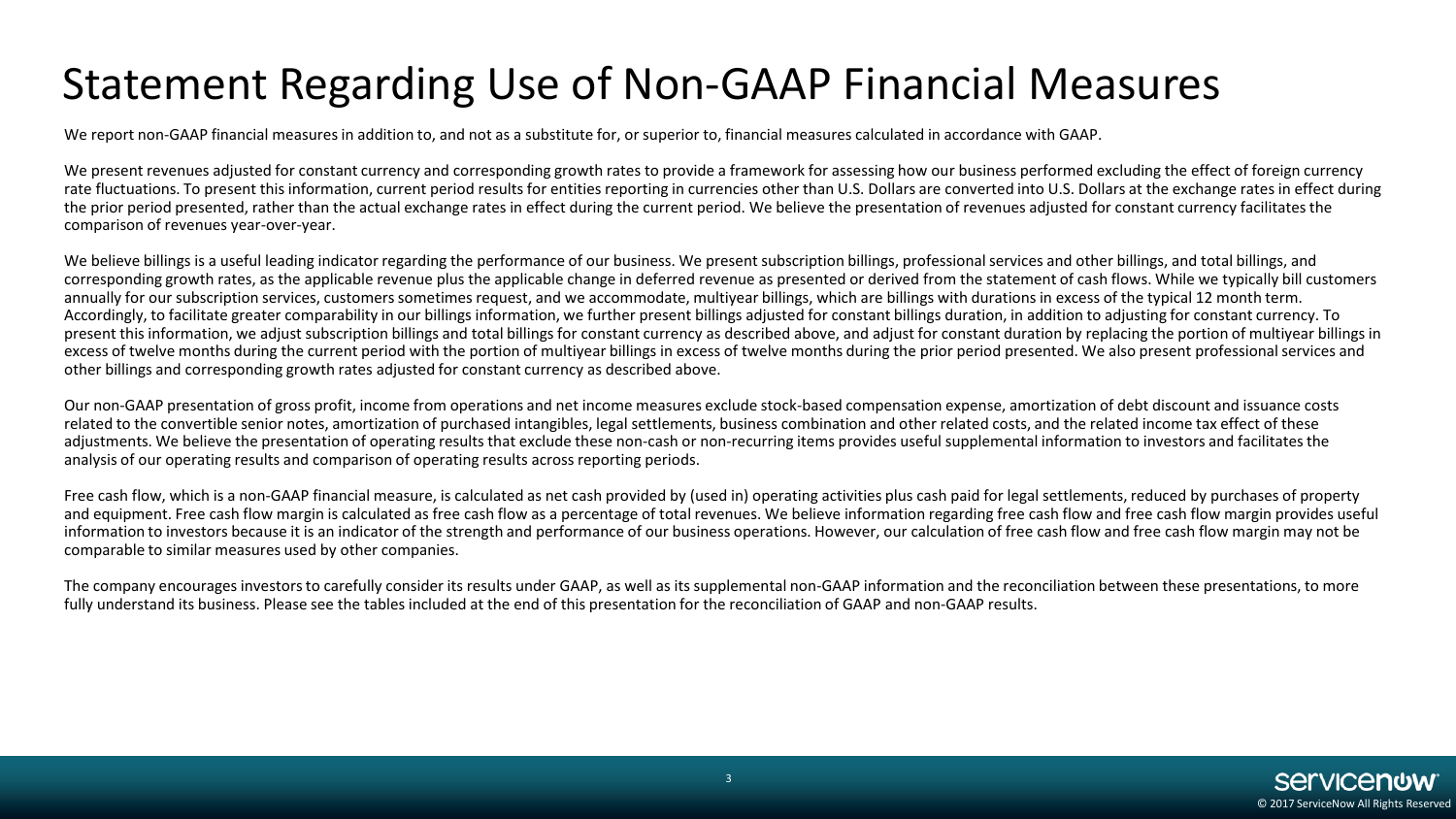# Statement Regarding Use of Non-GAAP Financial Measures

We report non-GAAP financial measures in addition to, and not as a substitute for, or superior to, financial measures calculated in accordance with GAAP.

We present revenues adjusted for constant currency and corresponding growth rates to provide a framework for assessing how our business performed excluding the effect of foreign currency rate fluctuations. To present this information, current period results for entities reporting in currencies other than U.S. Dollars are converted into U.S. Dollars at the exchange rates in effect during the prior period presented, rather than the actual exchange rates in effect during the current period. We believe the presentation of revenues adjusted for constant currency facilitates the comparison of revenues year-over-year.

We believe billings is a useful leading indicator regarding the performance of our business. We present subscription billings, professional services and other billings, and total billings, and corresponding growth rates, as the applicable revenue plus the applicable change in deferred revenue as presented or derived from the statement of cash flows. While we typically bill customers annually for our subscription services, customers sometimes request, and we accommodate, multiyear billings, which are billings with durations in excess of the typical 12 month term. Accordingly, to facilitate greater comparability in our billings information, we further present billings adjusted for constant billings duration, in addition to adjusting for constant currency. To present this information, we adjust subscription billings and total billings for constant currency as described above, and adjust for constant duration by replacing the portion of multiyear billings in excess of twelve months during the current period with the portion of multiyear billings in excess of twelve months during the prior period presented. We also present professional services and other billings and corresponding growth rates adjusted for constant currency as described above.

Our non-GAAP presentation of gross profit, income from operations and net income measures exclude stock-based compensation expense, amortization of debt discount and issuance costs related to the convertible senior notes, amortization of purchased intangibles, legal settlements, business combination and other related costs, and the related income tax effect of these adjustments. We believe the presentation of operating results that exclude these non-cash or non-recurring items provides useful supplemental information to investors and facilitates the analysis of our operating results and comparison of operating results across reporting periods.

Free cash flow, which is a non-GAAP financial measure, is calculated as net cash provided by (used in) operating activities plus cash paid for legal settlements, reduced by purchases of property and equipment. Free cash flow margin is calculated as free cash flow as a percentage of total revenues. We believe information regarding free cash flow and free cash flow margin provides useful information to investors because it is an indicator of the strength and performance of our business operations. However, our calculation of free cash flow and free cash flow margin may not be comparable to similar measures used by other companies.

The company encourages investors to carefully consider its results under GAAP, as well as its supplemental non-GAAP information and the reconciliation between these presentations, to more fully understand its business. Please see the tables included at the end of this presentation for the reconciliation of GAAP and non-GAAP results.

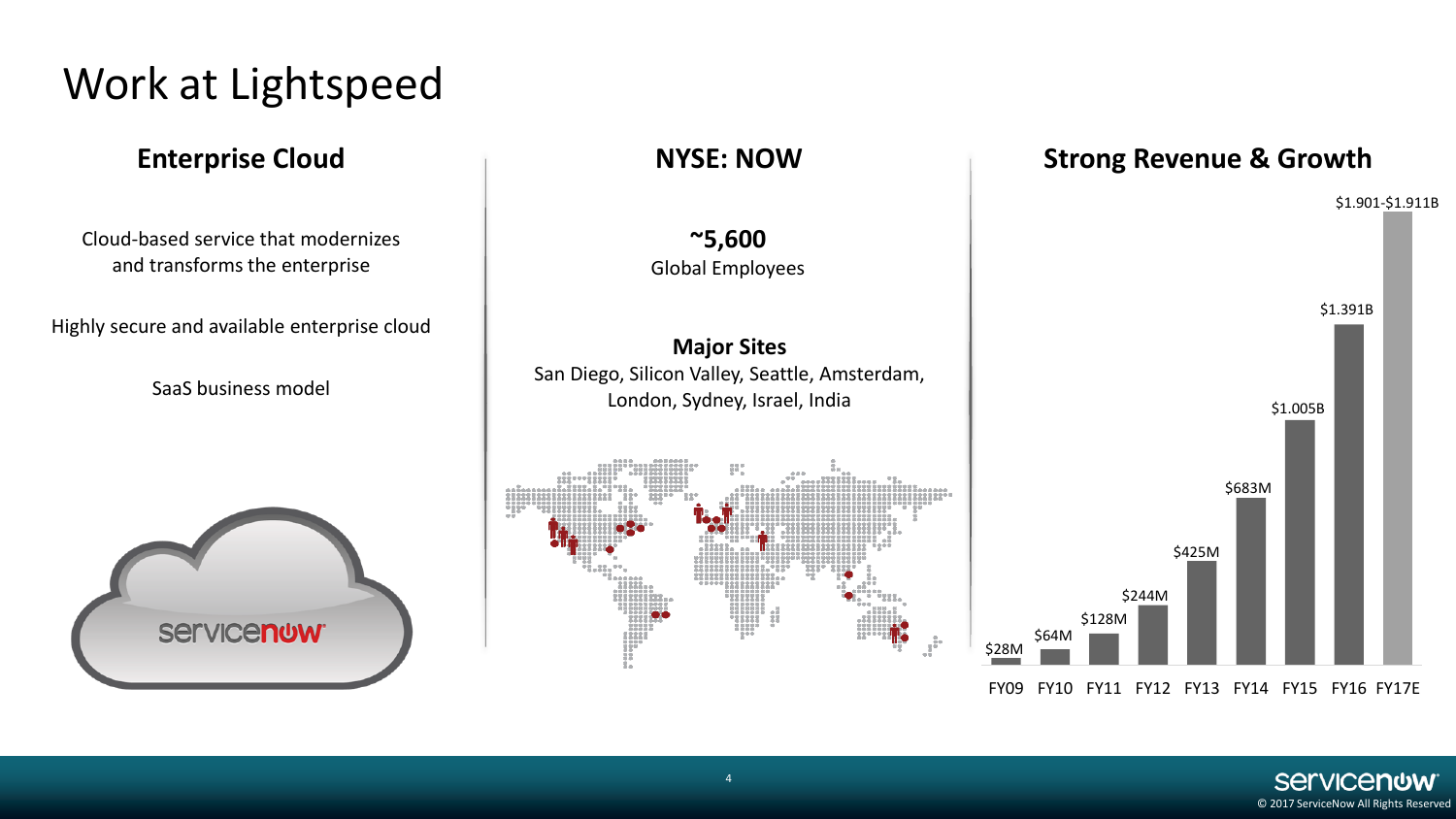# Work at Lightspeed



FY09 FY10 FY11 FY12 FY13 FY14 FY15 FY16 FY17E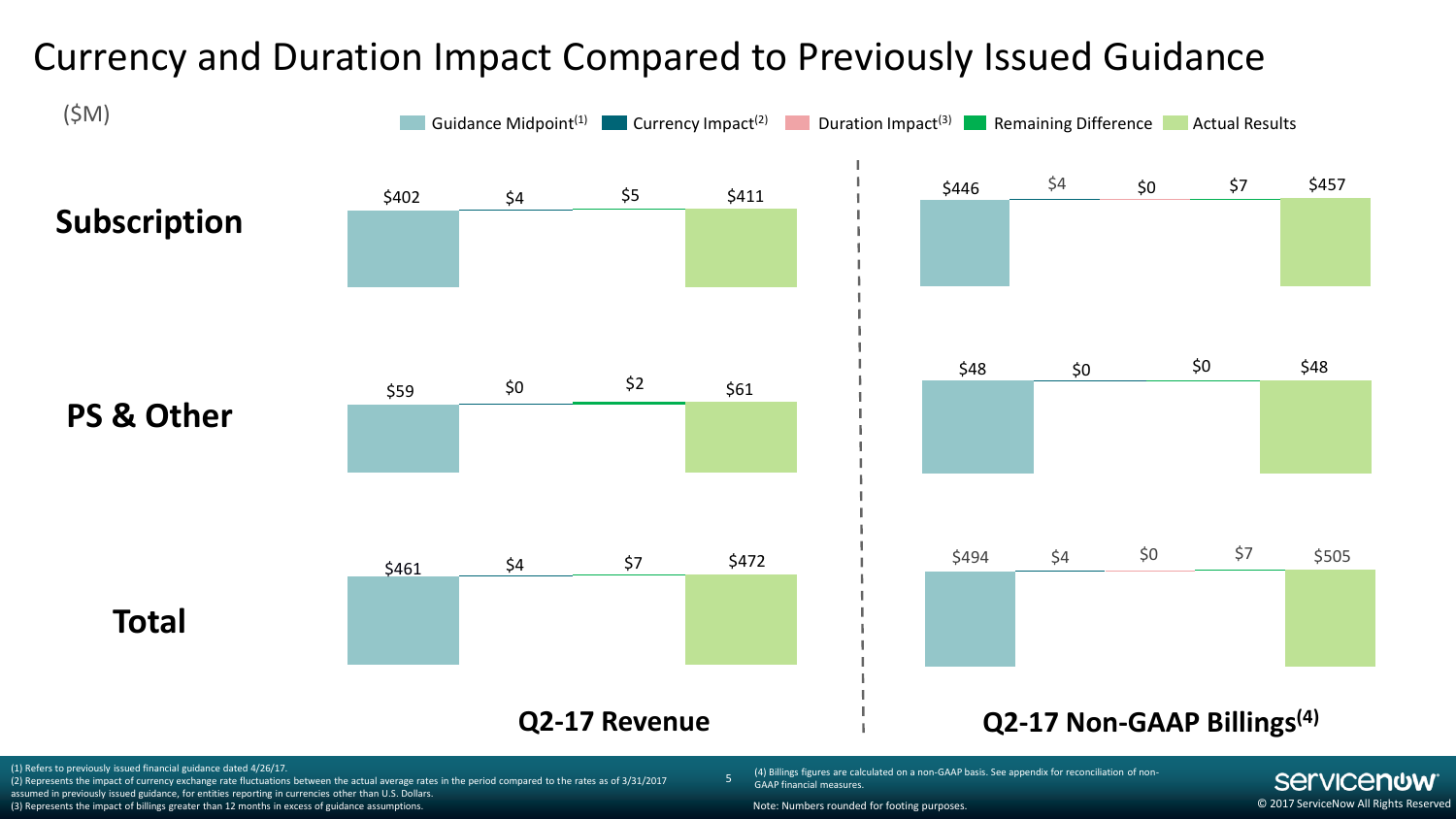#### 5 **Subscription**  $$402$   $$4$   $$5$   $$411$ **PS & Other**  $$59$  \$0  $$2$  \$61 **Total**  $$461$   $$4$   $$7$   $$472$ **Q2-17 Revenue**  $(SM)$  Guidance Midpoint<sup>(1)</sup> Currency Impact<sup>(2)</sup> Duration Impact<sup>(3)</sup> Remaining Difference Actual Results (3)  $$446$   $$4$  \$0 \$7 \$457 \$48 \$0 \$0 \$48 \$494 \$4 \$0 \$7 \$505 **Q2-17 Non-GAAP Billings(4)** (4) Billings figures are calculated on a non-GAAP basis. See appendix for reconciliation of non-GAAP financial measures.

#### Currency and Duration Impact Compared to Previously Issued Guidance

(1) Refers to previously issued financial guidance dated 4/26/17.

(2) Represents the impact of currency exchange rate fluctuations between the actual average rates in the period compared to the rates as of 3/31/2017 assumed in previously issued guidance, for entities reporting in currencies other than U.S. Dollars.

(3) Represents the impact of billings greater than 12 months in excess of guidance assumptions.

Note: Numbers rounded for footing purposes.

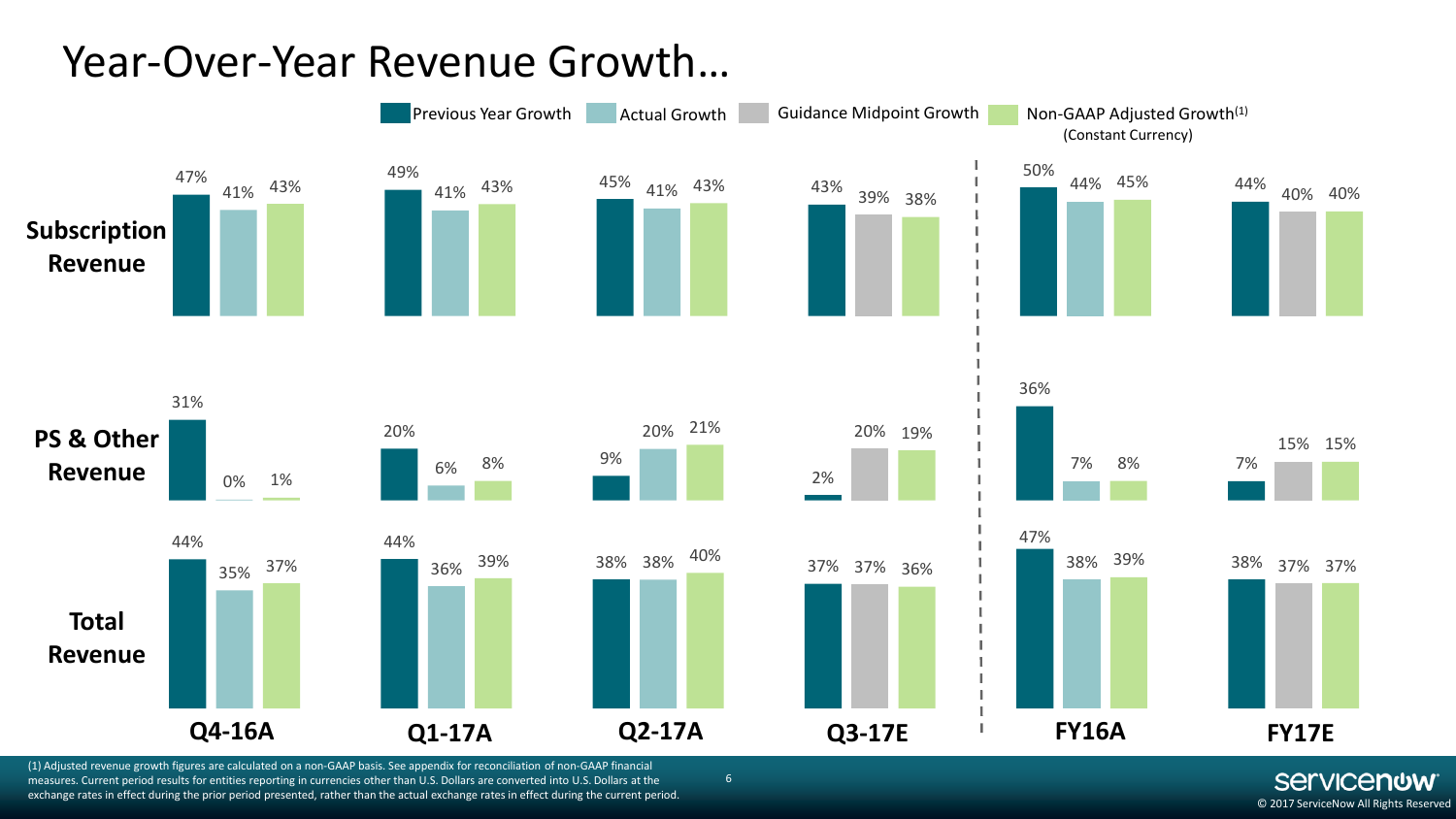#### Year-Over-Year Revenue Growth…



6

(1) Adjusted revenue growth figures are calculated on a non-GAAP basis. See appendix for reconciliation of non-GAAP financial measures. Current period results for entities reporting in currencies other than U.S. Dollars are converted into U.S. Dollars at the exchange rates in effect during the prior period presented, rather than the actual exchange rates in effect during the current period.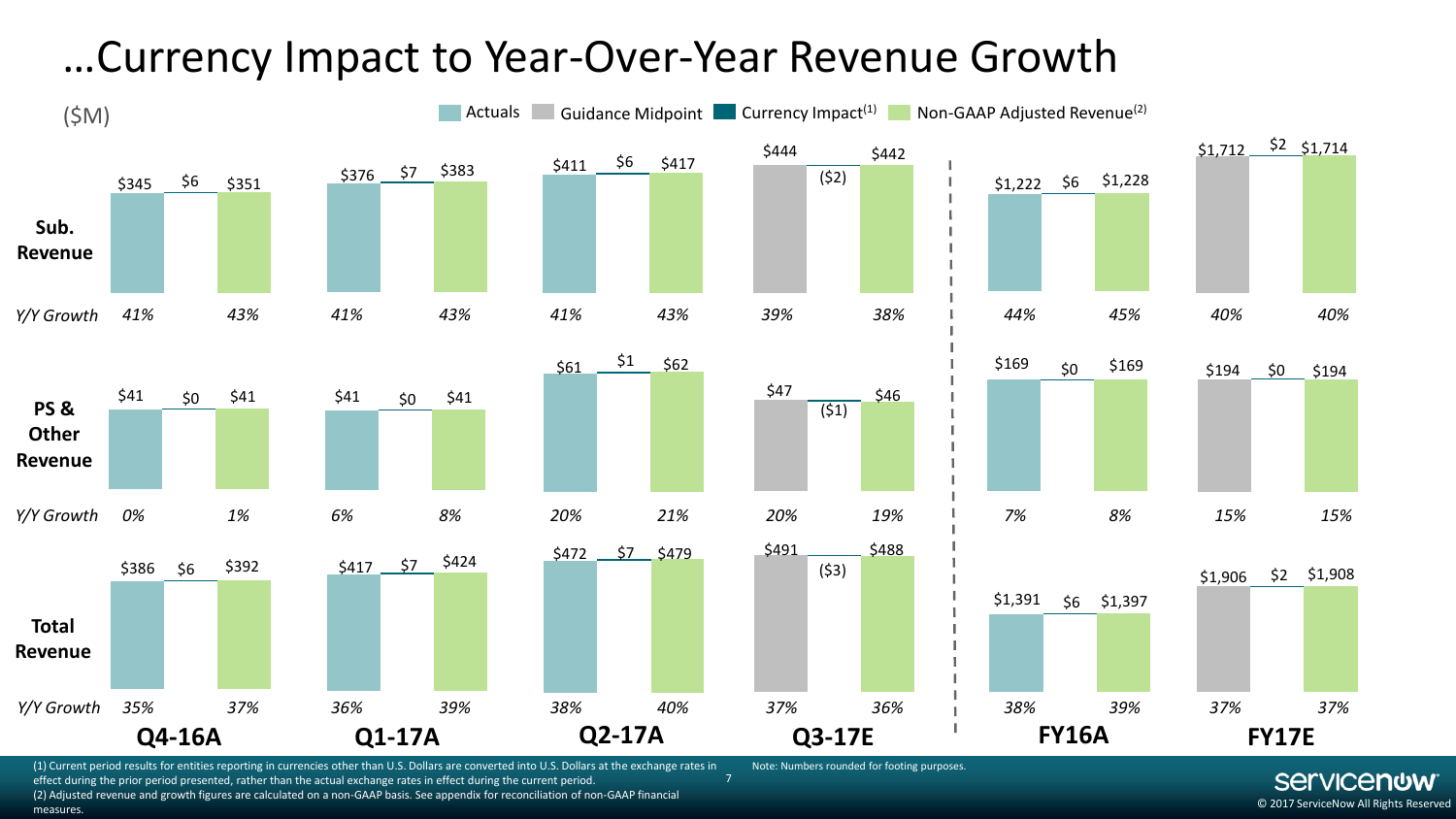### …Currency Impact to Year-Over-Year Revenue Growth



(1) Current period results for entities reporting in currencies other than U.S. Dollars are converted into U.S. Dollars at the exchange rates in effect during the prior period presented, rather than the actual exchange rates in effect during the current period. (2) Adjusted revenue and growth figures are calculated on a non-GAAP basis. See appendix for reconciliation of non-GAAP financial measures.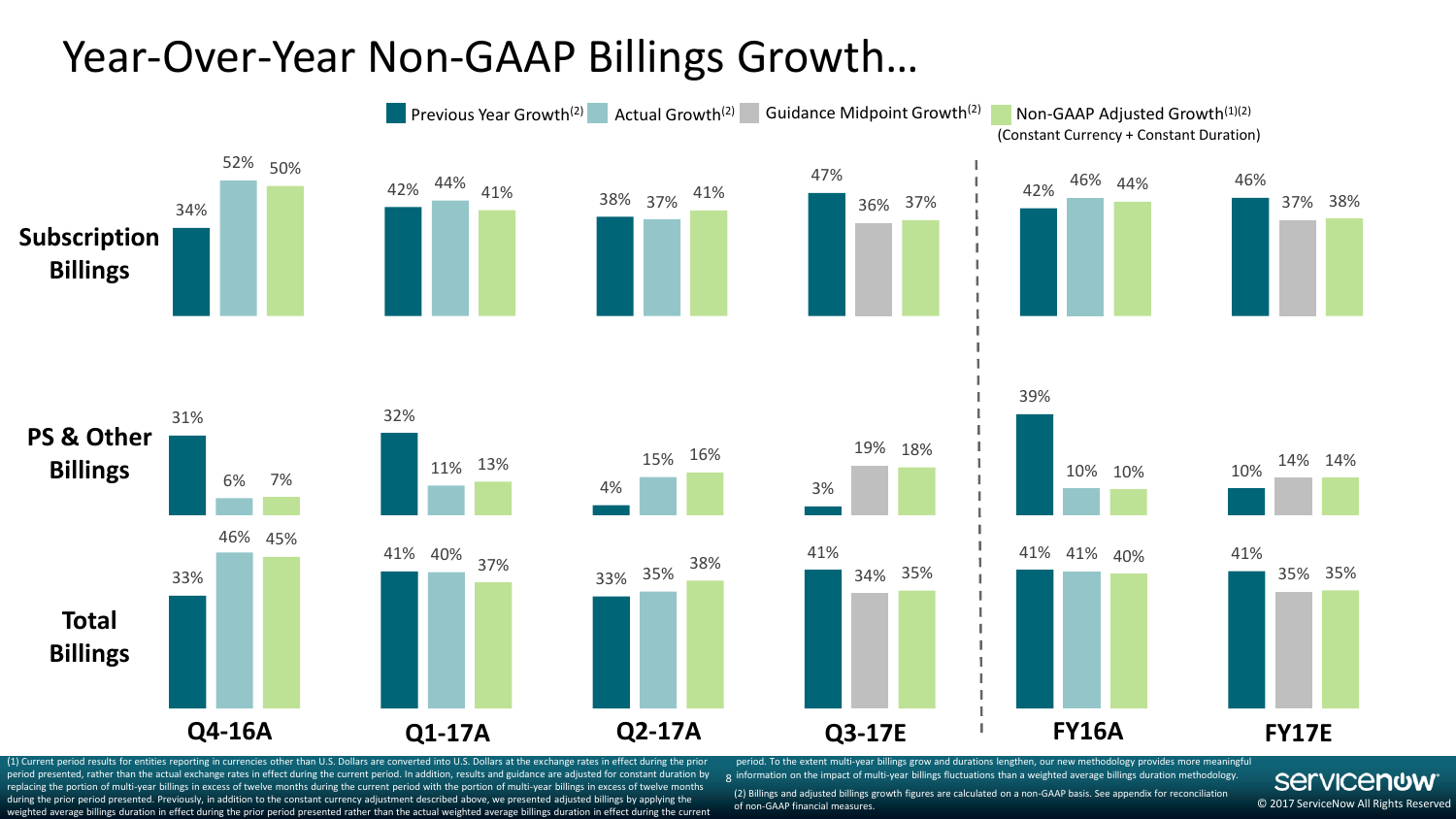#### Year-Over-Year Non-GAAP Billings Growth…



(1) Current period results for entities reporting in currencies other than U.S. Dollars are converted into U.S. Dollars at the exchange rates in effect during the prior period presented, rather than the actual exchange rates in effect during the current period. In addition, results and guidance are adjusted for constant duration by replacing the portion of multi-year billings in excess of twelve months during the current period with the portion of multi-year billings in excess of twelve months during the prior period presented. Previously, in addition to the constant currency adjustment described above, we presented adjusted billings by applying the weighted average billings duration in effect during the prior period presented rather than the actual weighted average billings duration in effect during the current

8 information on the impact of multi-year billings fluctuations than a weighted average billings duration methodology. period. To the extent multi-year billings grow and durations lengthen, our new methodology provides more meaningful

(2) Billings and adjusted billings growth figures are calculated on a non-GAAP basis. See appendix for reconciliation of non-GAAP financial measures.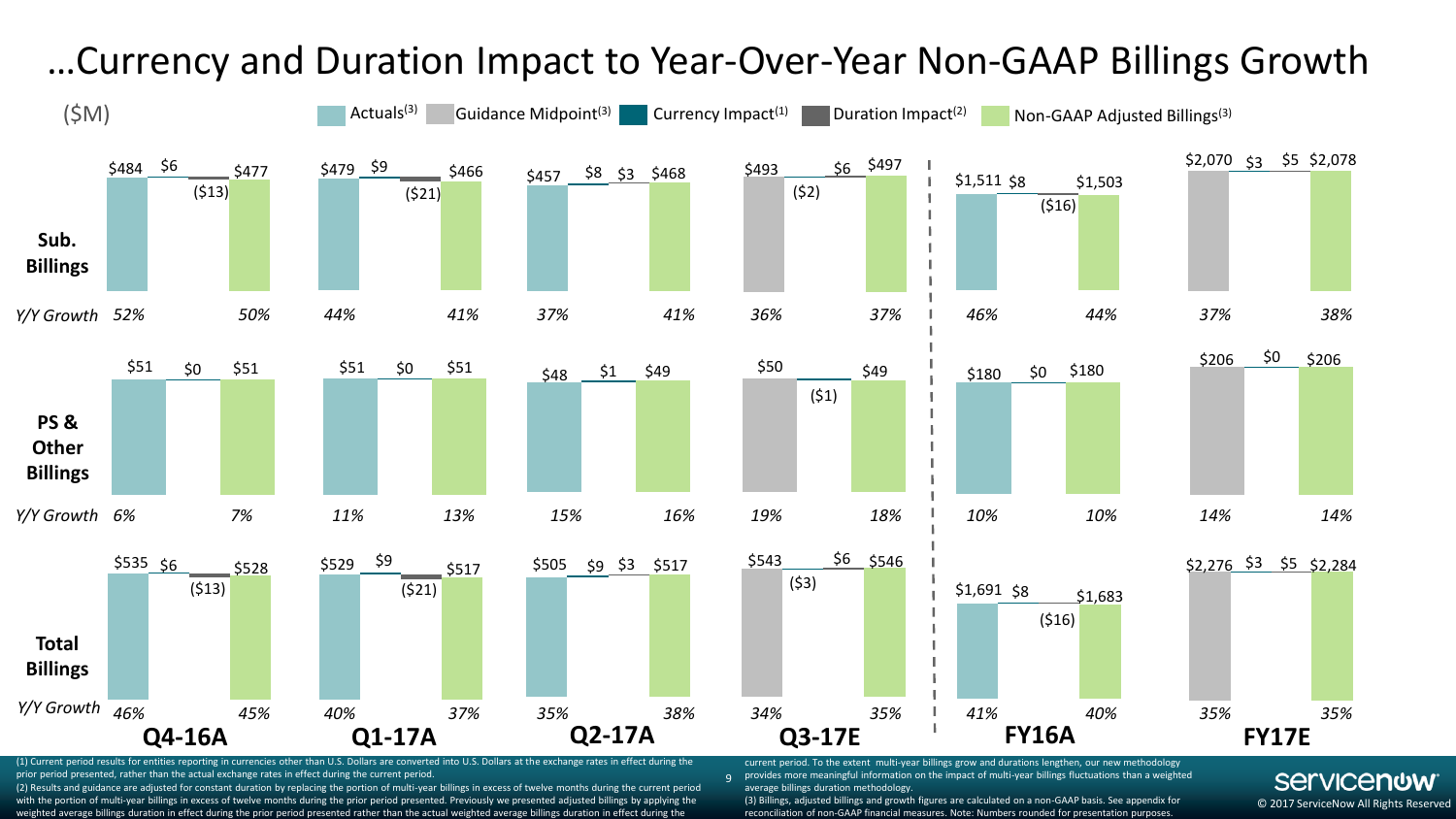

#### …Currency and Duration Impact to Year-Over-Year Non-GAAP Billings Growth

(1) Current period results for entities reporting in currencies other than U.S. Dollars are converted into U.S. Dollars at the exchange rates in effect during the prior period presented, rather than the actual exchange rates in effect during the current period.

(2) Results and guidance are adjusted for constant duration by replacing the portion of multi-year billings in excess of twelve months during the current period with the portion of multi-year billings in excess of twelve months during the prior period presented. Previously we presented adjusted billings by applying the weighted average billings duration in effect during the prior period presented rather than the actual weighted average billings duration in effect during the

provides more meaningful information on the impact of multi-year billings fluctuations than a weighted provides average billings duration methodology.

(3) Billings, adjusted billings and growth figures are calculated on a non-GAAP basis. See appendix for reconciliation of non-GAAP financial measures. Note: Numbers rounded for presentation purposes.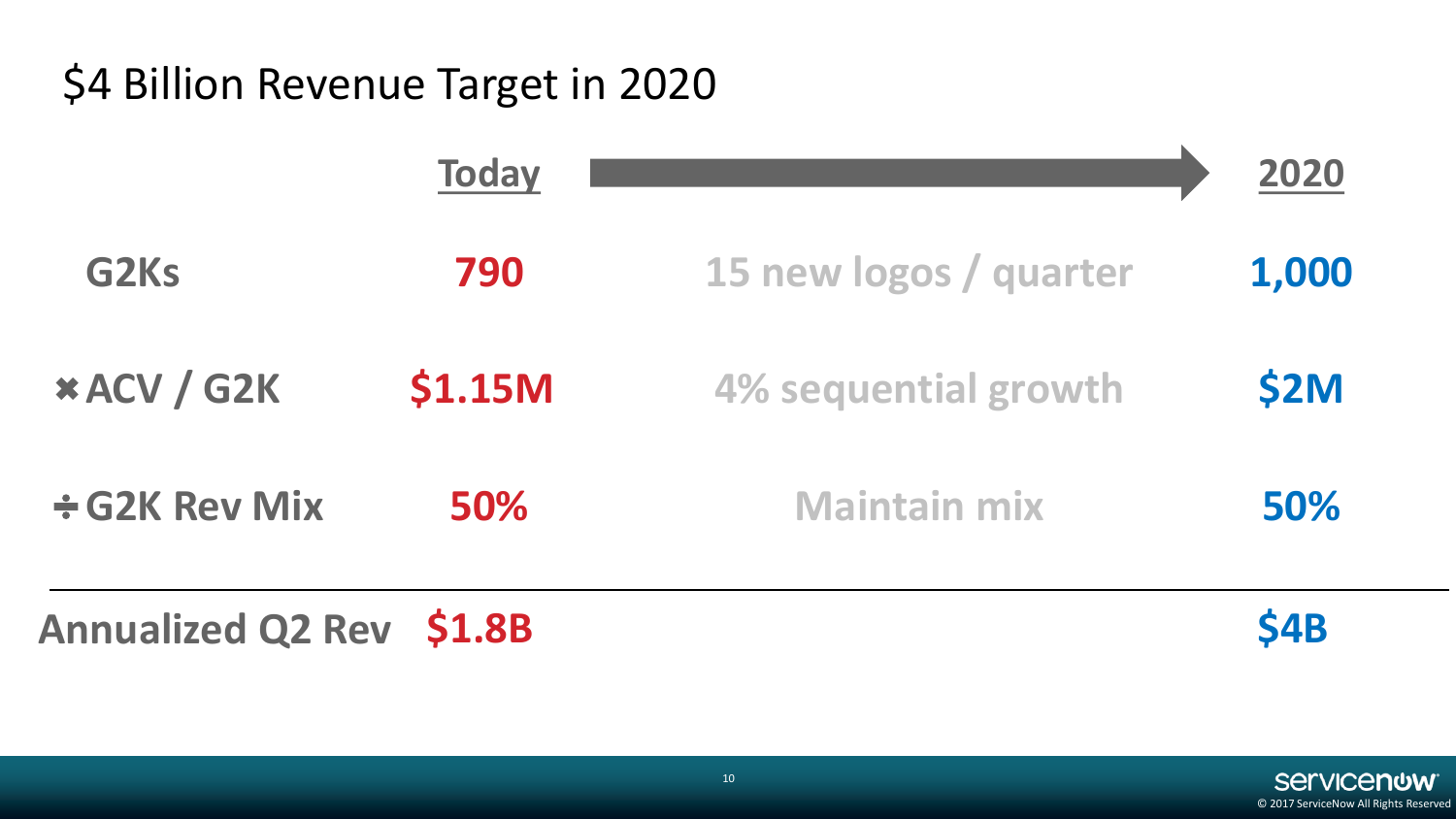# \$4 Billion Revenue Target in 2020

| Annualized Q2 Rev \$1.8B |              |                        | <b>\$4B</b> |
|--------------------------|--------------|------------------------|-------------|
| $\div$ G2K Rev Mix       | 50%          | <b>Maintain mix</b>    | 50%         |
| <b>*ACV / G2K</b>        | \$1.15M      | 4% sequential growth   | <b>\$2M</b> |
| G2Ks                     | 790          | 15 new logos / quarter | 1,000       |
|                          | <b>Today</b> |                        | 2020        |

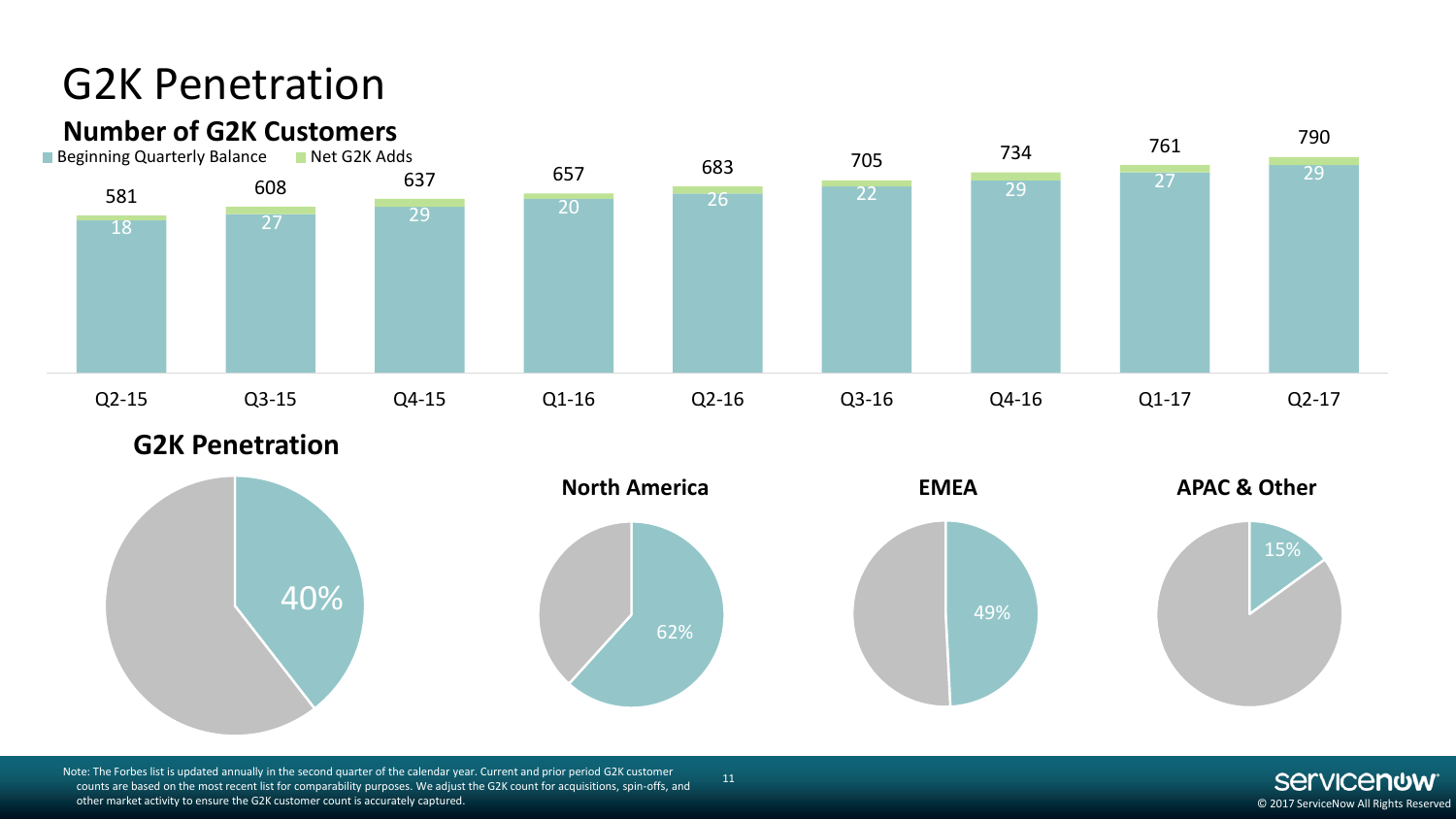#### G2K Penetration



Note: The Forbes list is updated annually in the second quarter of the calendar year. Current and prior period G2K customer counts are based on the most recent list for comparability purposes. We adjust the G2K count for acquisitions, spin-offs, and other market activity to ensure the G2K customer count is accurately captured.

11

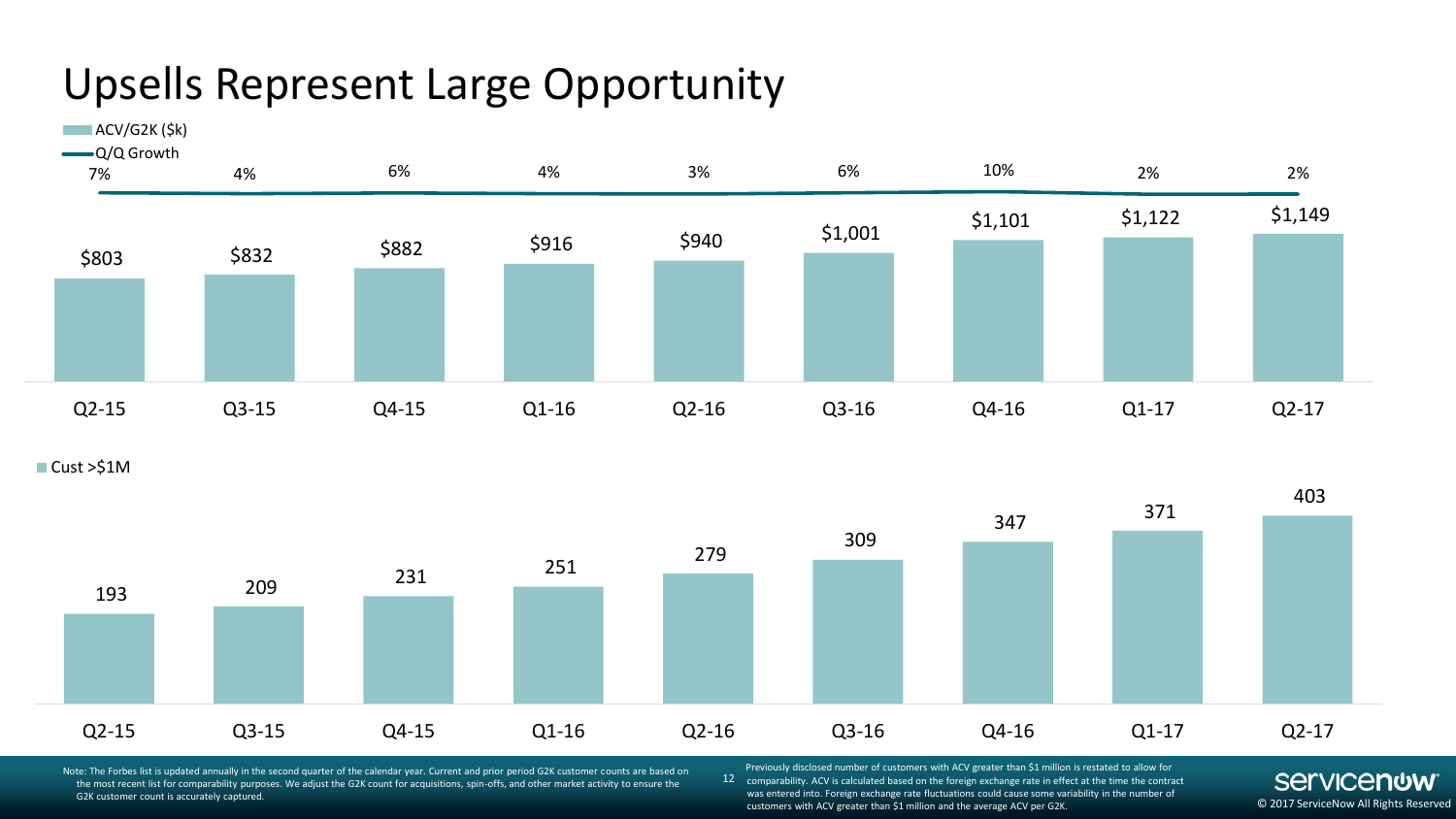# Upsells Represent Large Opportunity

ACV/G2K (\$k)



Cust >\$1M



Note: The Forbes list is updated annually in the second quarter of the calendar year. Current and prior period G2K customer counts are based on the most recent list for comparability purposes. We adjust the G2K count for acquisitions, spin-offs, and other market activity to ensure the G2K customer count is accurately captured.

12 comparability. ACV is calculated based on the foreign exchange rate in effect at the time the contract Previously disclosed number of customers with ACV greater than \$1 million is restated to allow for was entered into. Foreign exchange rate fluctuations could cause some variability in the number of customers with ACV greater than \$1 million and the average ACV per G2K.

© 2017 ServiceNow All Rights Reserved

**Servicenow**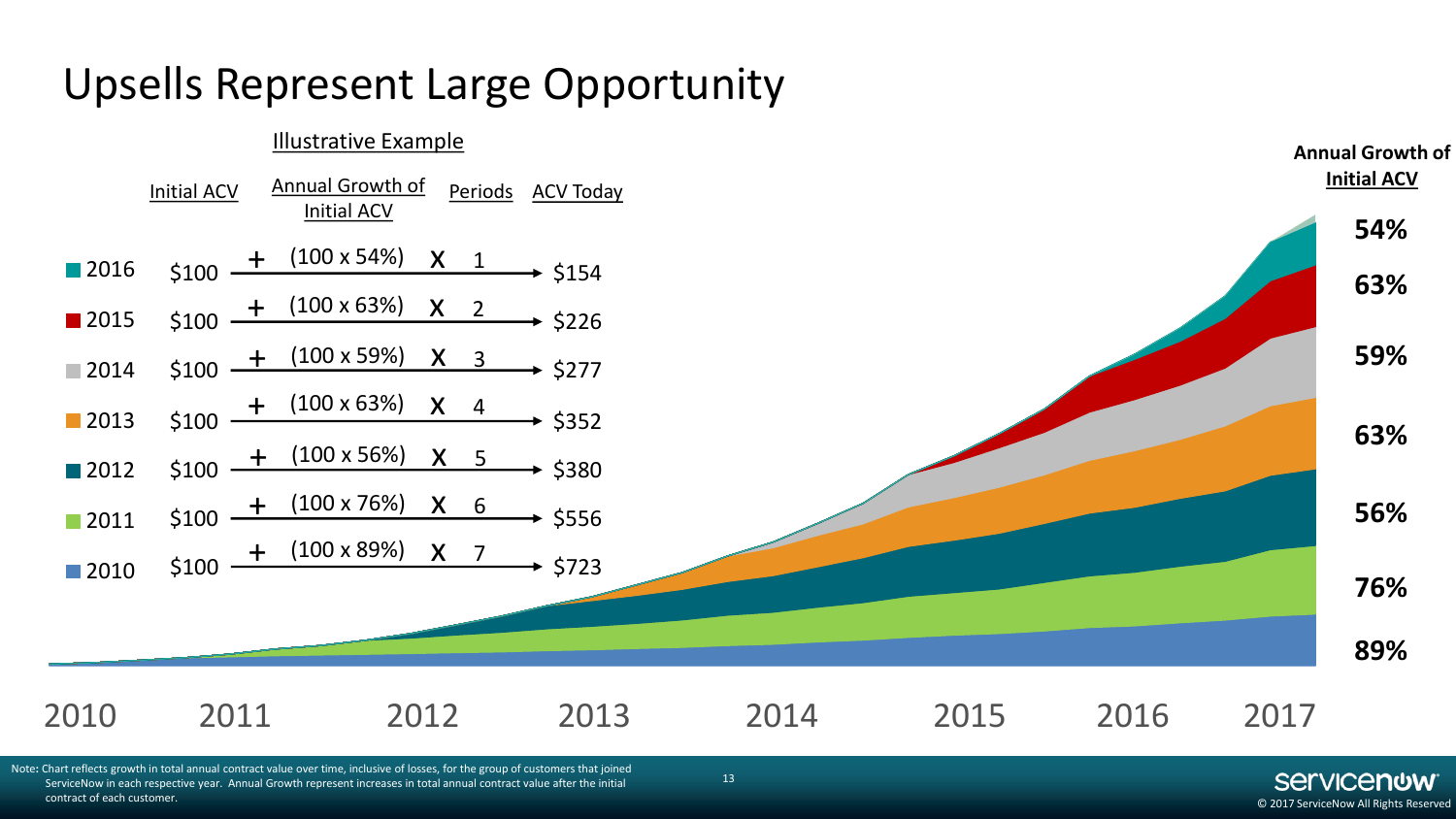#### Upsells Represent Large Opportunity



Note**:** Chart reflects growth in total annual contract value over time, inclusive of losses, for the group of customers that joined ServiceNow in each respective year. Annual Growth represent increases in total annual contract value after the initial contract of each customer.

© 2017 ServiceNow All Rights Reserved

**Servicenow**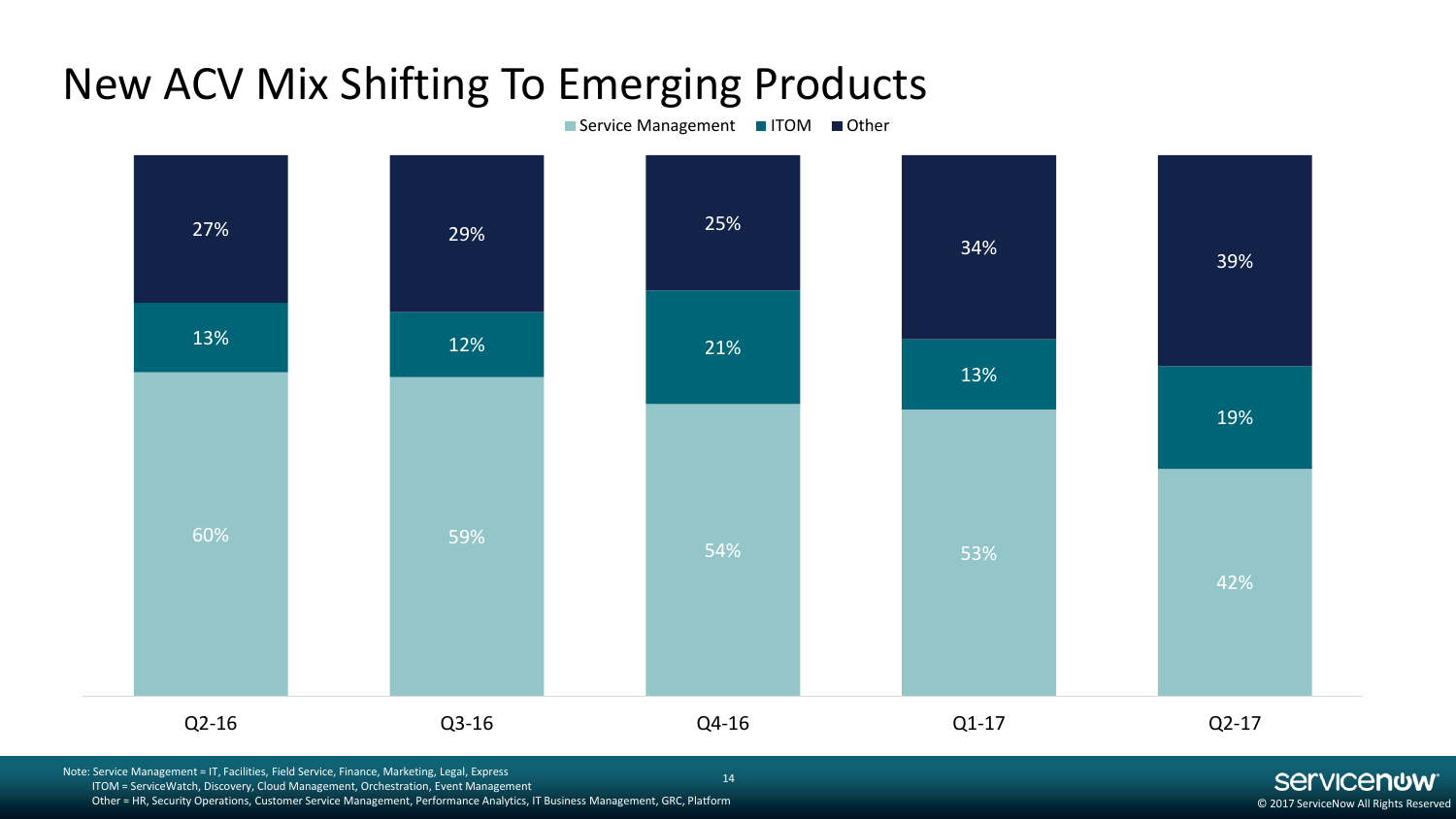# New ACV Mix Shifting To Emerging Products

Service Management ITOM Other



© 2017 ServiceNow All Rights Reserved

ITOM = ServiceWatch, Discovery, Cloud Management, Orchestration, Event Management

Other = HR, Security Operations, Customer Service Management, Performance Analytics, IT Business Management, GRC, Platform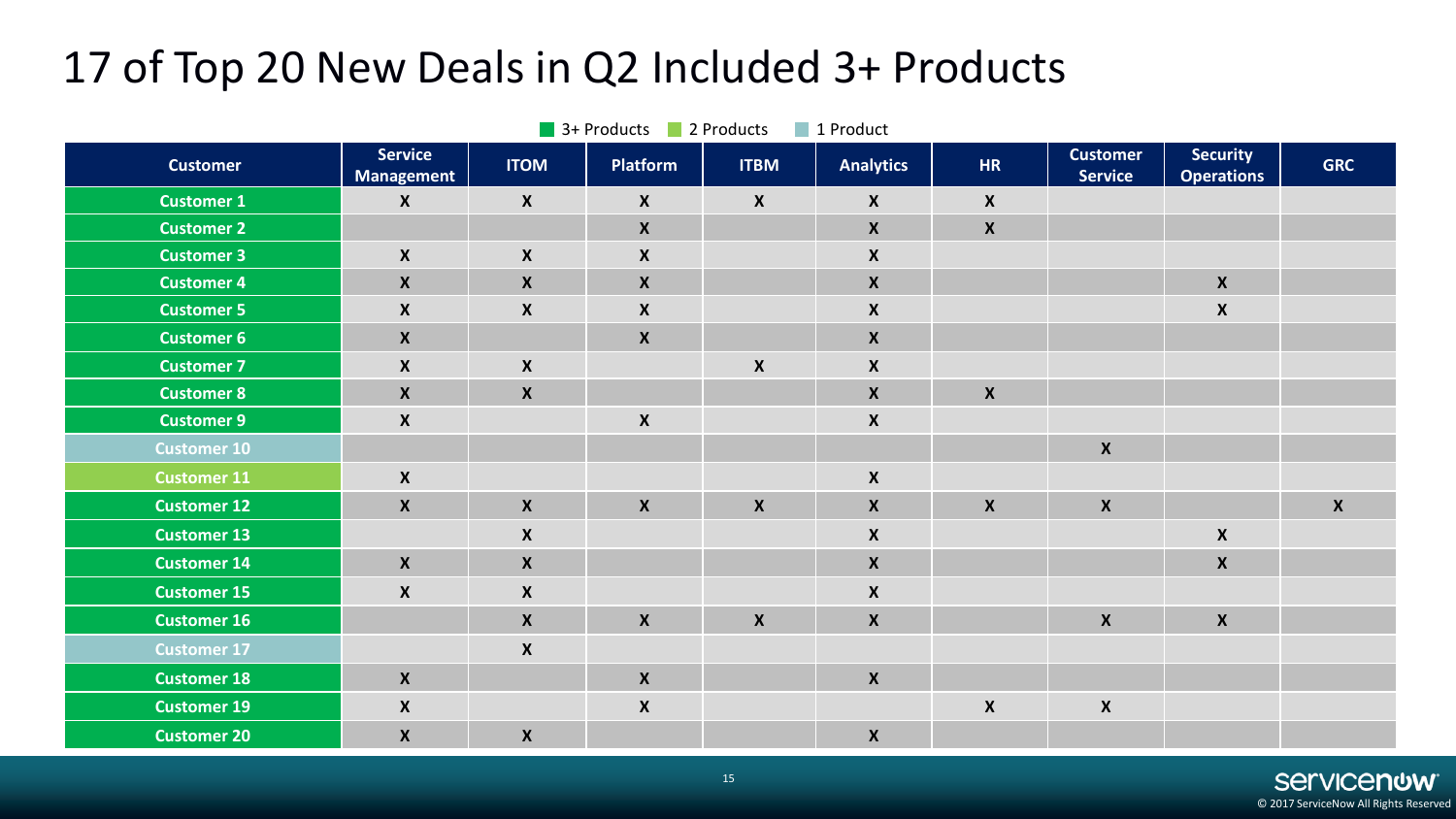# 17 of Top 20 New Deals in Q2 Included 3+ Products

|                    |                              |                    | $\blacksquare$ 3+ Products | 2 Products<br>m. | 1 Product          |                  |                                   |                                      |                    |
|--------------------|------------------------------|--------------------|----------------------------|------------------|--------------------|------------------|-----------------------------------|--------------------------------------|--------------------|
| <b>Customer</b>    | <b>Service</b><br>Management | <b>ITOM</b>        | <b>Platform</b>            | <b>ITBM</b>      | <b>Analytics</b>   | <b>HR</b>        | <b>Customer</b><br><b>Service</b> | <b>Security</b><br><b>Operations</b> | <b>GRC</b>         |
| <b>Customer 1</b>  | $\boldsymbol{X}$             | $\boldsymbol{X}$   | $\boldsymbol{X}$           | $\boldsymbol{X}$ | $\boldsymbol{X}$   | $\boldsymbol{X}$ |                                   |                                      |                    |
| <b>Customer 2</b>  |                              |                    | $\boldsymbol{X}$           |                  | $\pmb{\mathsf{X}}$ | $\boldsymbol{X}$ |                                   |                                      |                    |
| <b>Customer 3</b>  | $\boldsymbol{X}$             | $\mathsf{X}$       | $\boldsymbol{X}$           |                  | $\boldsymbol{X}$   |                  |                                   |                                      |                    |
| <b>Customer 4</b>  | $\boldsymbol{X}$             | $\boldsymbol{X}$   | $\boldsymbol{X}$           |                  | $\pmb{\mathsf{X}}$ |                  |                                   | $\boldsymbol{X}$                     |                    |
| <b>Customer 5</b>  | $\pmb{\mathsf{X}}$           | $\boldsymbol{X}$   | $\boldsymbol{X}$           |                  | $\pmb{\mathsf{X}}$ |                  |                                   | $\pmb{\mathsf{X}}$                   |                    |
| <b>Customer 6</b>  | $\boldsymbol{X}$             |                    | $\boldsymbol{X}$           |                  | $\boldsymbol{X}$   |                  |                                   |                                      |                    |
| <b>Customer 7</b>  | $\boldsymbol{X}$             | $\boldsymbol{X}$   |                            | $\boldsymbol{X}$ | $\pmb{\mathsf{X}}$ |                  |                                   |                                      |                    |
| <b>Customer 8</b>  | $\boldsymbol{X}$             | $\boldsymbol{X}$   |                            |                  | $\pmb{\mathsf{X}}$ | $\boldsymbol{X}$ |                                   |                                      |                    |
| <b>Customer 9</b>  | $\boldsymbol{\mathsf{X}}$    |                    | $\boldsymbol{\mathsf{X}}$  |                  | $\pmb{\mathsf{X}}$ |                  |                                   |                                      |                    |
| <b>Customer 10</b> |                              |                    |                            |                  |                    |                  | $\pmb{\mathsf{X}}$                |                                      |                    |
| <b>Customer 11</b> | $\pmb{\mathsf{X}}$           |                    |                            |                  | $\boldsymbol{X}$   |                  |                                   |                                      |                    |
| <b>Customer 12</b> | $\boldsymbol{X}$             | $\mathsf{X}$       | $\boldsymbol{X}$           | $\mathbf x$      | $\pmb{\mathsf{X}}$ | $\mathbf x$      | $\pmb{\mathsf{X}}$                |                                      | $\pmb{\mathsf{X}}$ |
| <b>Customer 13</b> |                              | $\boldsymbol{X}$   |                            |                  | $\boldsymbol{X}$   |                  |                                   | $\boldsymbol{X}$                     |                    |
| <b>Customer 14</b> | $\boldsymbol{X}$             | $\boldsymbol{X}$   |                            |                  | $\boldsymbol{X}$   |                  |                                   | $\boldsymbol{X}$                     |                    |
| <b>Customer 15</b> | $\boldsymbol{\mathsf{X}}$    | $\pmb{\mathsf{X}}$ |                            |                  | $\pmb{\mathsf{X}}$ |                  |                                   |                                      |                    |
| <b>Customer 16</b> |                              | $\boldsymbol{X}$   | $\boldsymbol{X}$           | $\boldsymbol{X}$ | $\boldsymbol{X}$   |                  | $\boldsymbol{X}$                  | $\mathsf{X}$                         |                    |
| <b>Customer 17</b> |                              | $\boldsymbol{X}$   |                            |                  |                    |                  |                                   |                                      |                    |
| <b>Customer 18</b> | $\boldsymbol{X}$             |                    | $\boldsymbol{X}$           |                  | $\pmb{\mathsf{X}}$ |                  |                                   |                                      |                    |
| <b>Customer 19</b> | $\pmb{\mathsf{X}}$           |                    | $\boldsymbol{\mathsf{X}}$  |                  |                    | $\boldsymbol{X}$ | $\pmb{\mathsf{X}}$                |                                      |                    |
| <b>Customer 20</b> | $\boldsymbol{\mathsf{X}}$    | $\boldsymbol{X}$   |                            |                  | $\boldsymbol{X}$   |                  |                                   |                                      |                    |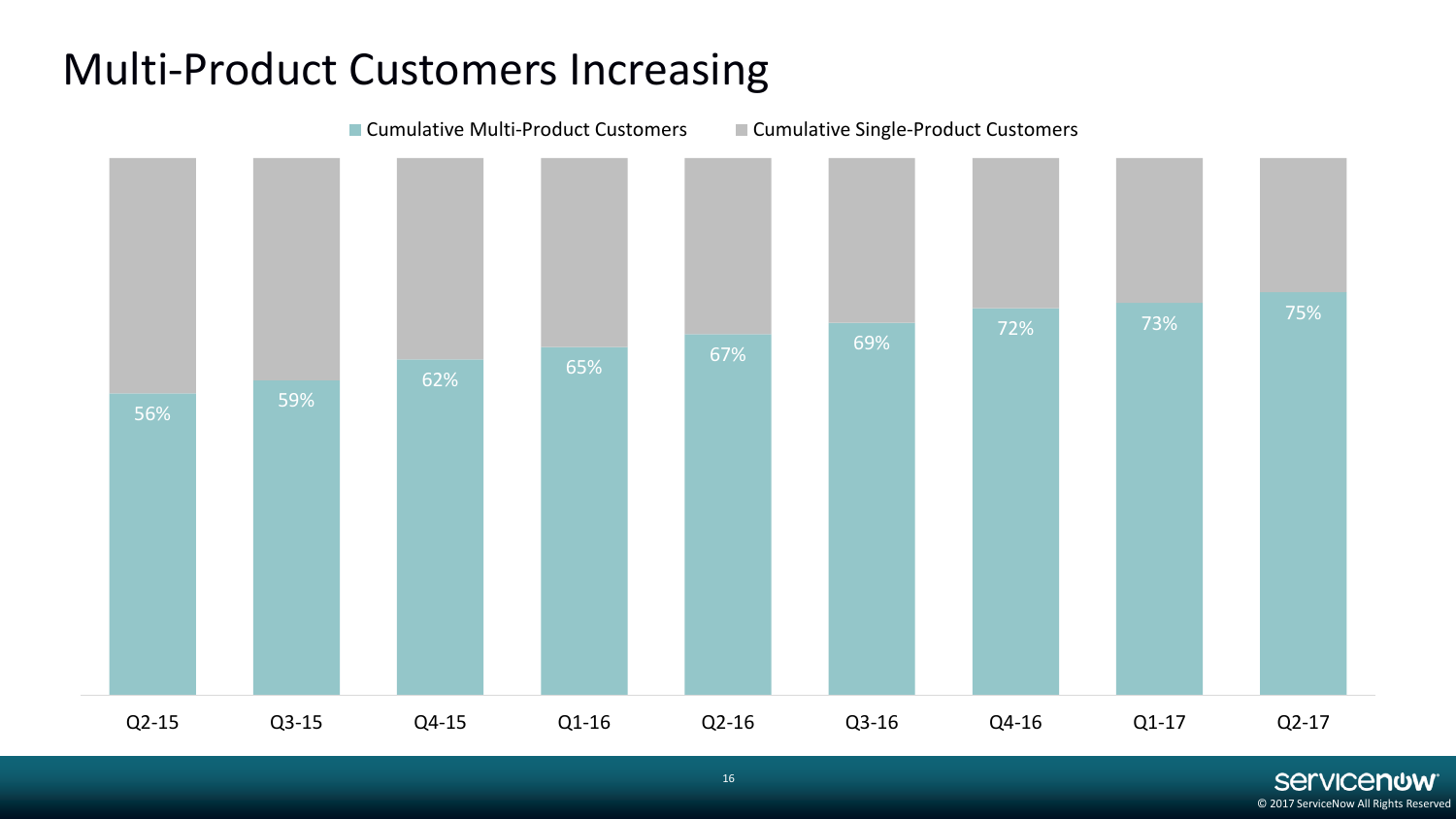### Multi-Product Customers Increasing

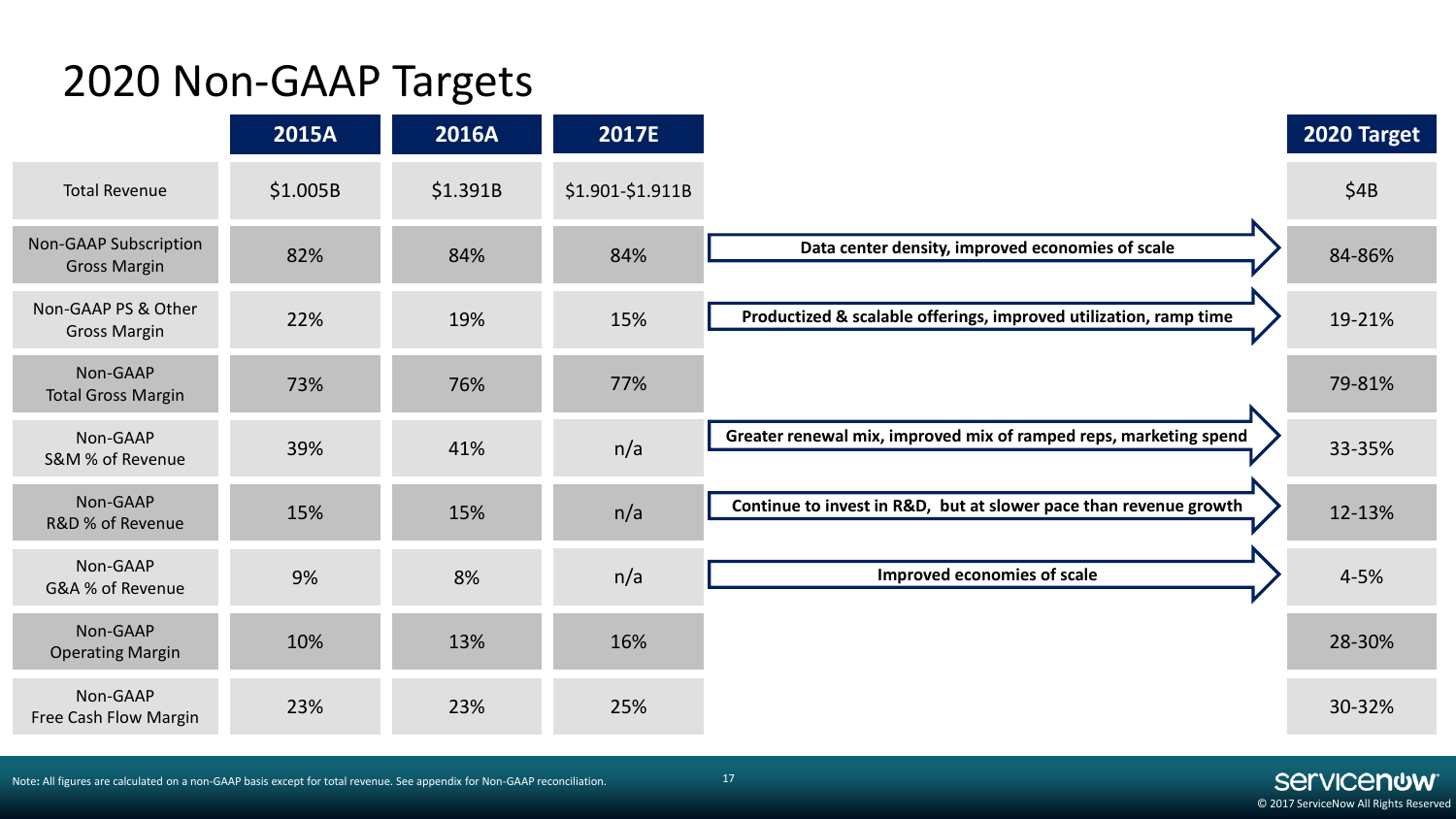### 2020 Non-GAAP Targets

|                                              | 2015A    | <b>2016A</b> | 2017E            |                                                                   | 2020 Target |
|----------------------------------------------|----------|--------------|------------------|-------------------------------------------------------------------|-------------|
| <b>Total Revenue</b>                         | \$1.005B | \$1.391B     | \$1.901-\$1.911B |                                                                   | \$4B        |
| Non-GAAP Subscription<br><b>Gross Margin</b> | 82%      | 84%          | 84%              | Data center density, improved economies of scale                  | 84-86%      |
| Non-GAAP PS & Other<br><b>Gross Margin</b>   | 22%      | 19%          | 15%              | Productized & scalable offerings, improved utilization, ramp time | 19-21%      |
| Non-GAAP<br><b>Total Gross Margin</b>        | 73%      | 76%          | 77%              |                                                                   | 79-81%      |
| Non-GAAP<br>S&M % of Revenue                 | 39%      | 41%          | n/a              | Greater renewal mix, improved mix of ramped reps, marketing spend | 33-35%      |
| Non-GAAP<br>R&D % of Revenue                 | 15%      | 15%          | n/a              | Continue to invest in R&D, but at slower pace than revenue growth | 12-13%      |
| Non-GAAP<br>G&A % of Revenue                 | 9%       | 8%           | n/a              | Improved economies of scale                                       | $4 - 5%$    |
| Non-GAAP<br><b>Operating Margin</b>          | 10%      | 13%          | 16%              |                                                                   | 28-30%      |
| Non-GAAP<br>Free Cash Flow Margin            | 23%      | 23%          | 25%              |                                                                   | 30-32%      |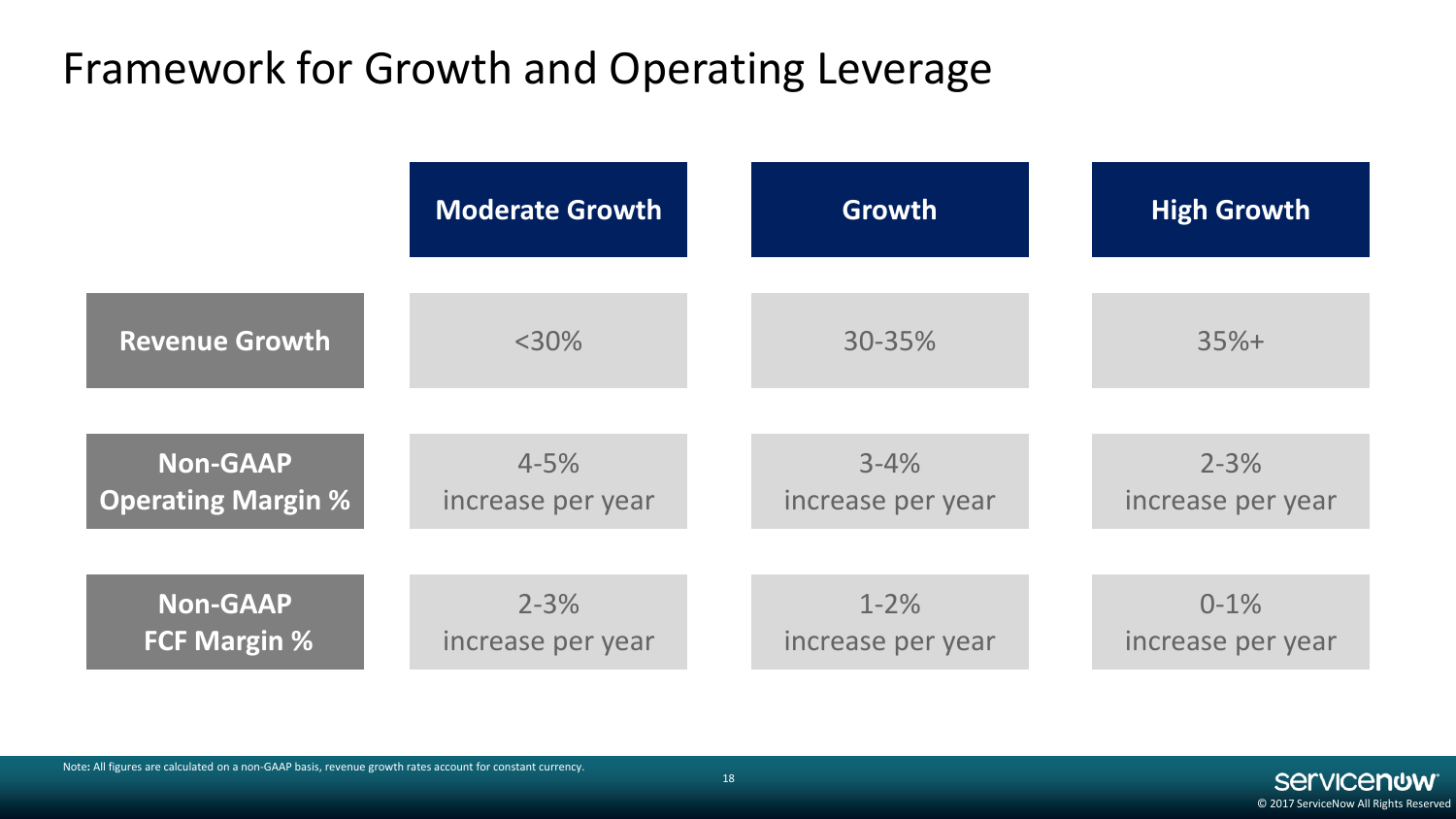# Framework for Growth and Operating Leverage

|                           | <b>Moderate Growth</b> | <b>Growth</b>     | <b>High Growth</b> |
|---------------------------|------------------------|-------------------|--------------------|
| <b>Revenue Growth</b>     | $<$ 30%                | 30-35%            | $35%+$             |
| <b>Non-GAAP</b>           | $4 - 5%$               | $3 - 4%$          | $2 - 3%$           |
| <b>Operating Margin %</b> | increase per year      | increase per year | increase per year  |
| <b>Non-GAAP</b>           | $2 - 3%$               | $1 - 2%$          | $0 - 1%$           |
| <b>FCF Margin %</b>       | increase per year      | increase per year | increase per year  |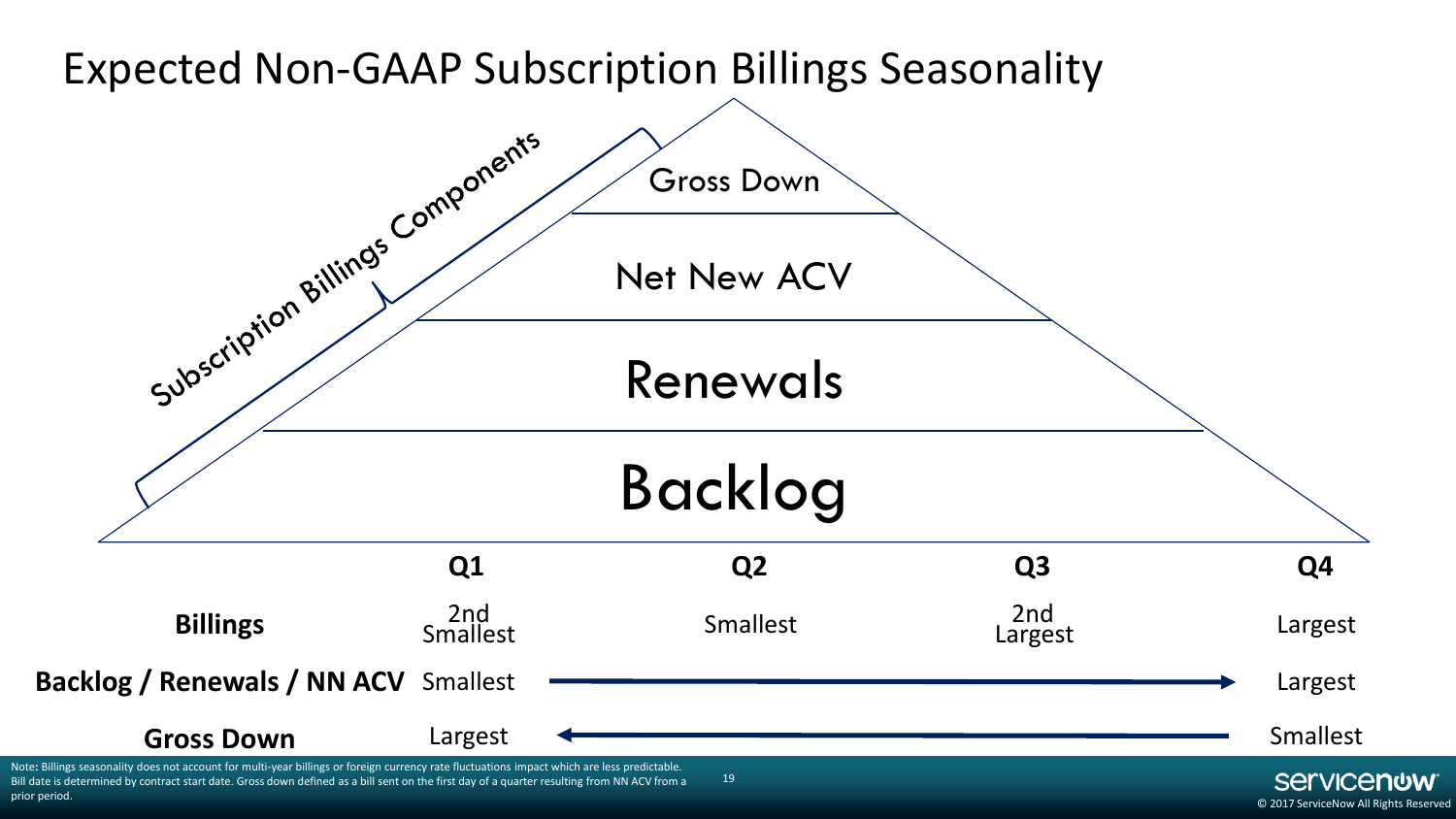

<sup>© 2017</sup> ServiceNow All Rights Reserved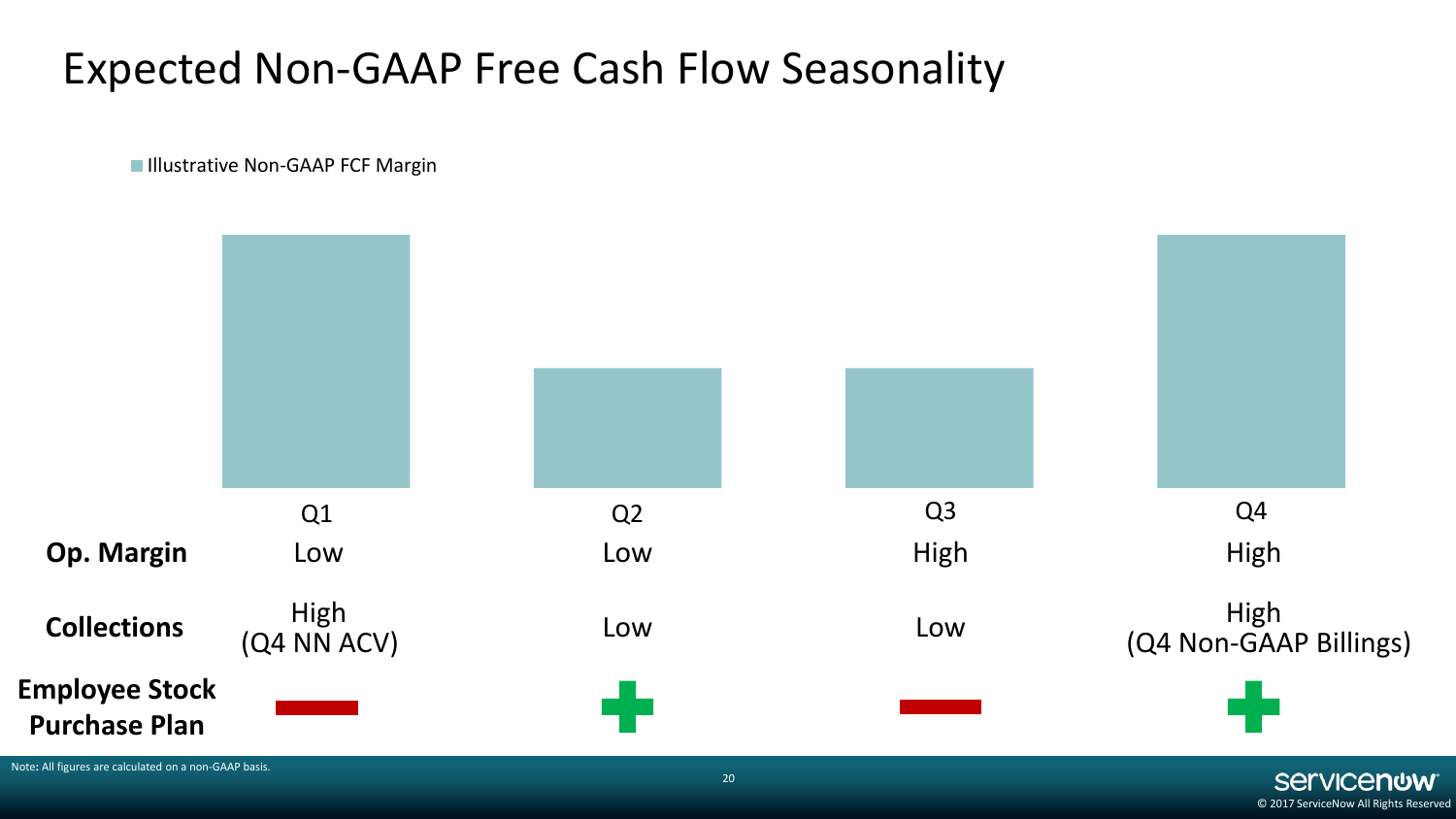### Expected Non-GAAP Free Cash Flow Seasonality

**Illustrative Non-GAAP FCF Margin** 



© 2017 ServiceNow All Rights Reserved

**Servicenow**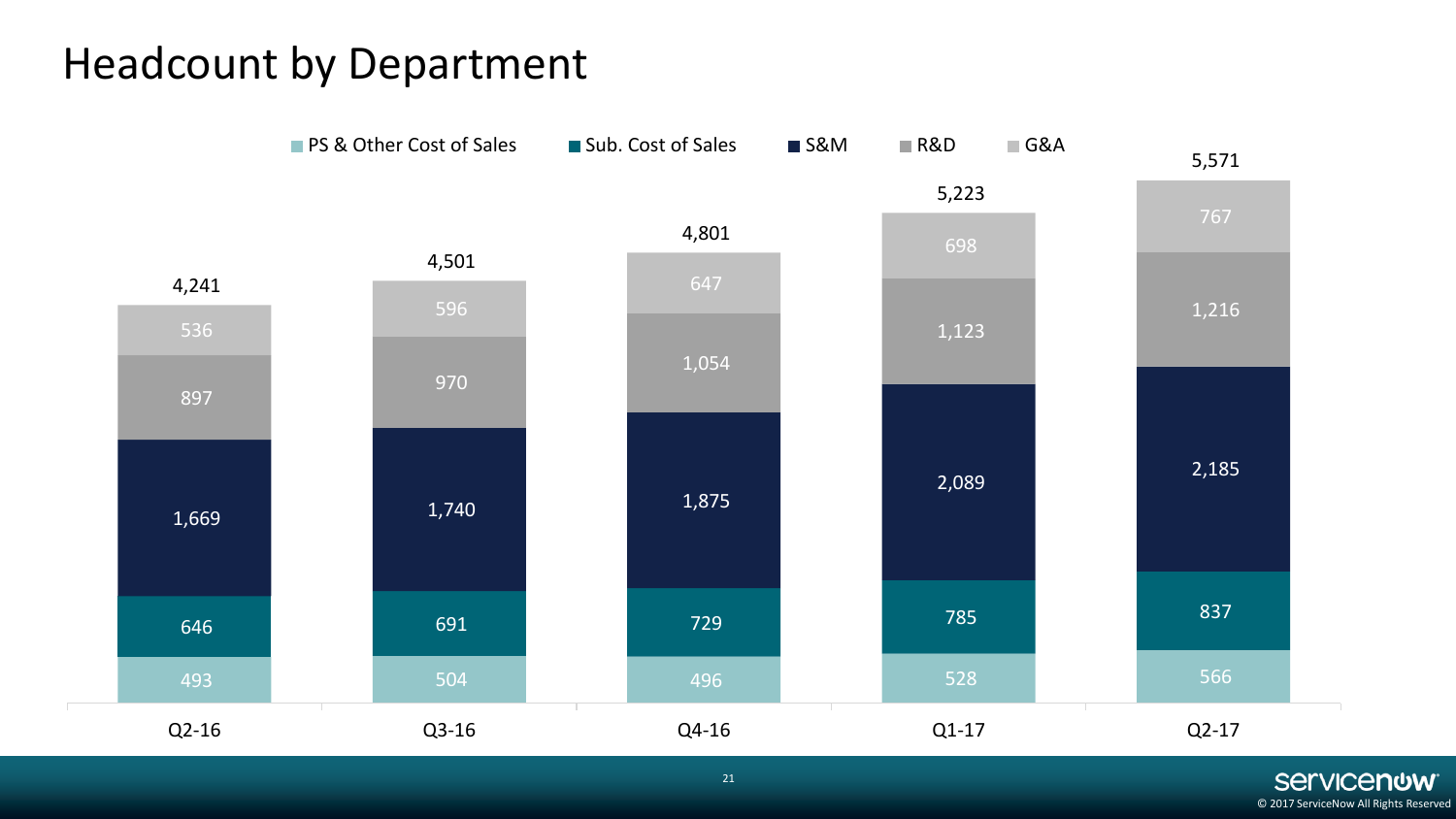# Headcount by Department

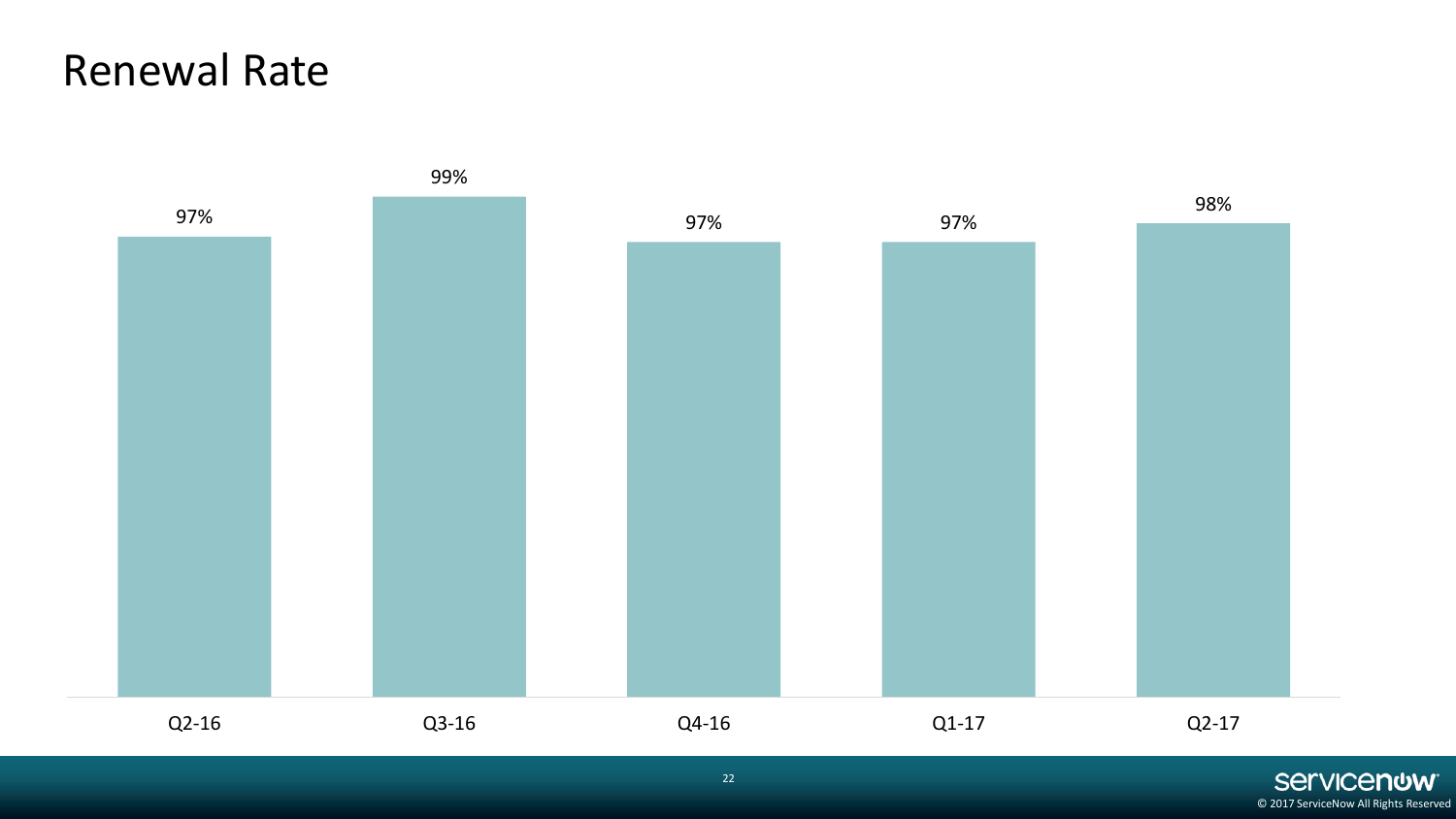#### Renewal Rate



22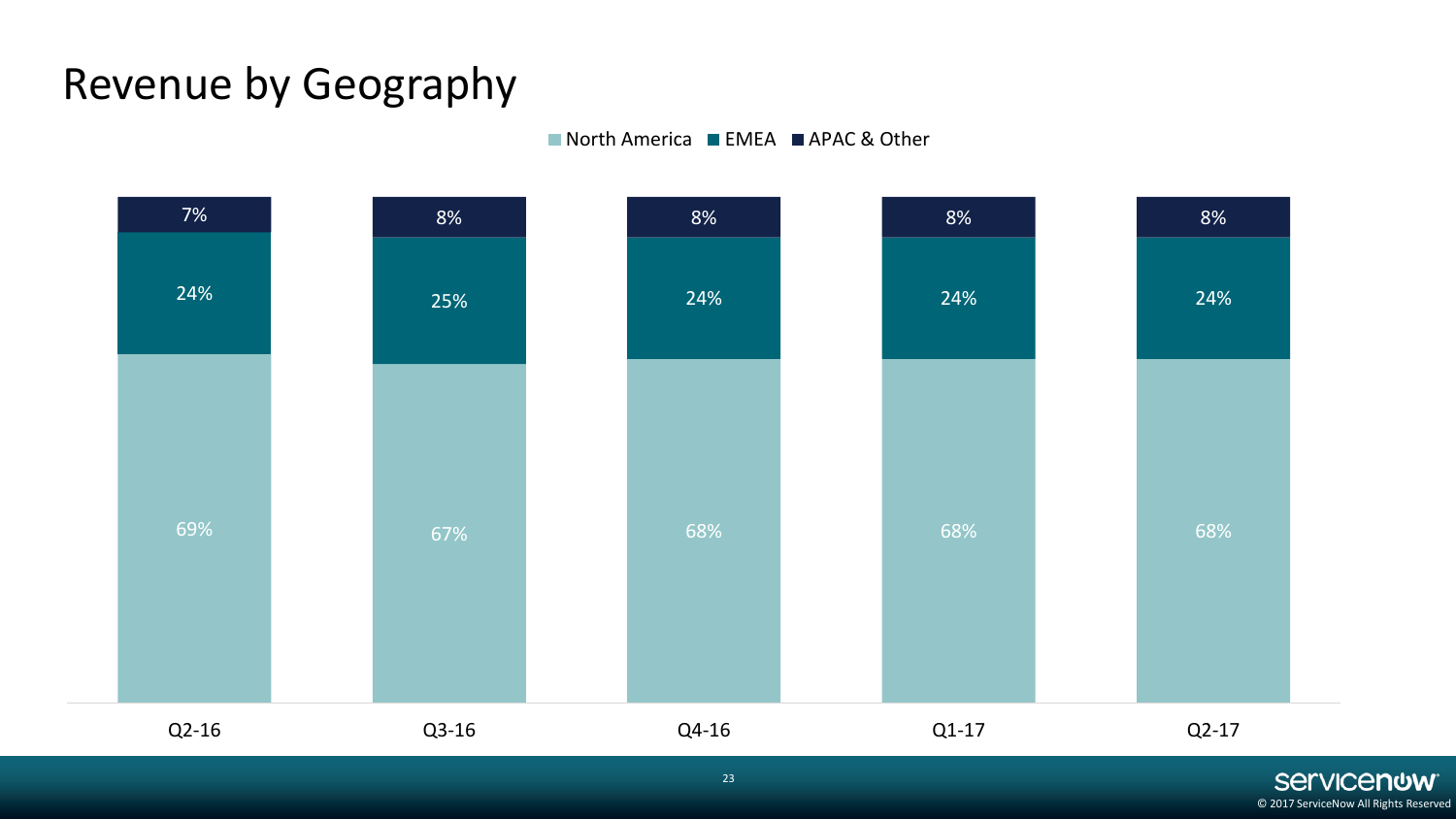### Revenue by Geography

 $\blacksquare$  North America  $\blacksquare$  EMEA  $\blacksquare$  APAC & Other

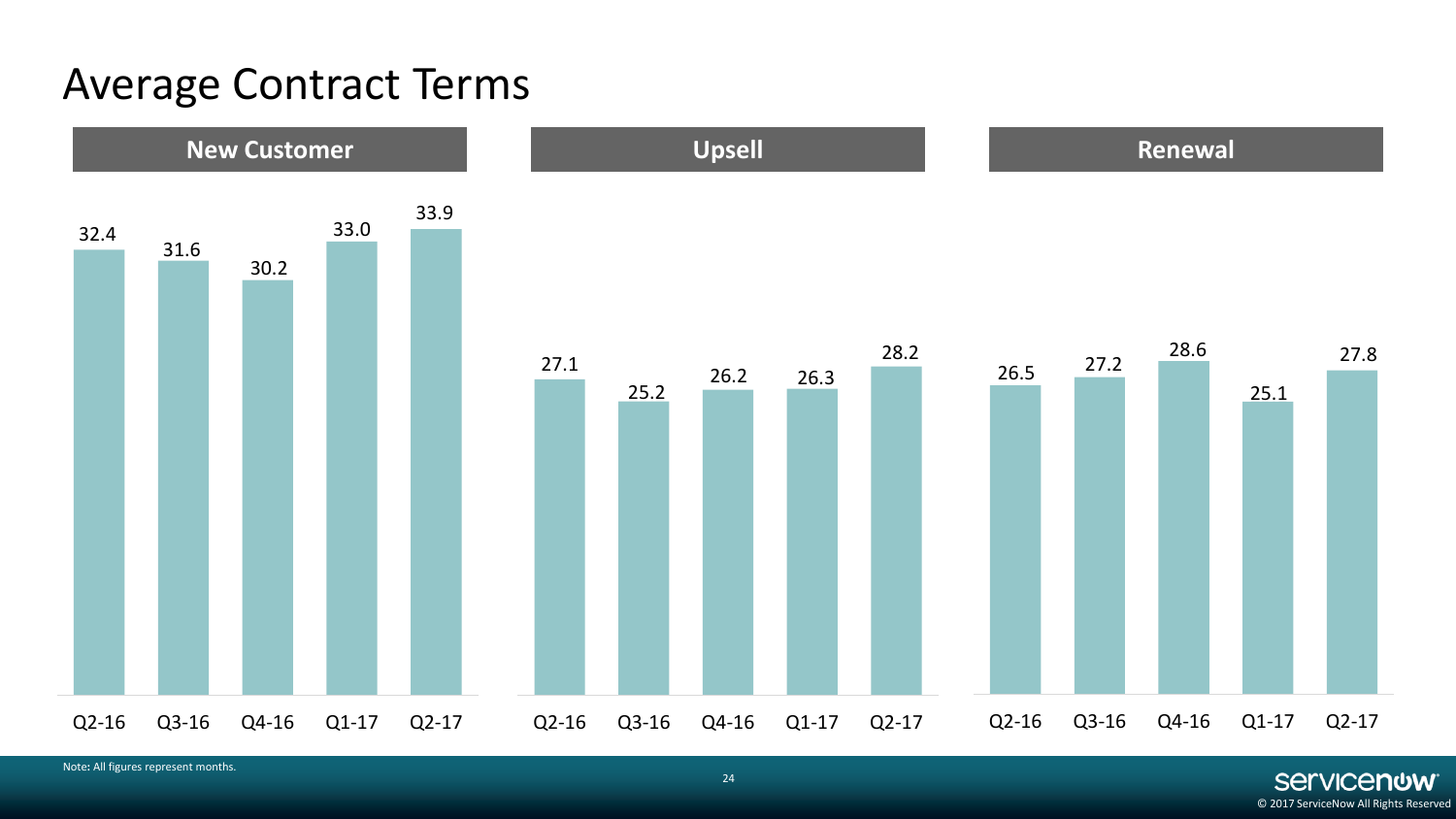#### Average Contract Terms



Note**:** All figures represent months.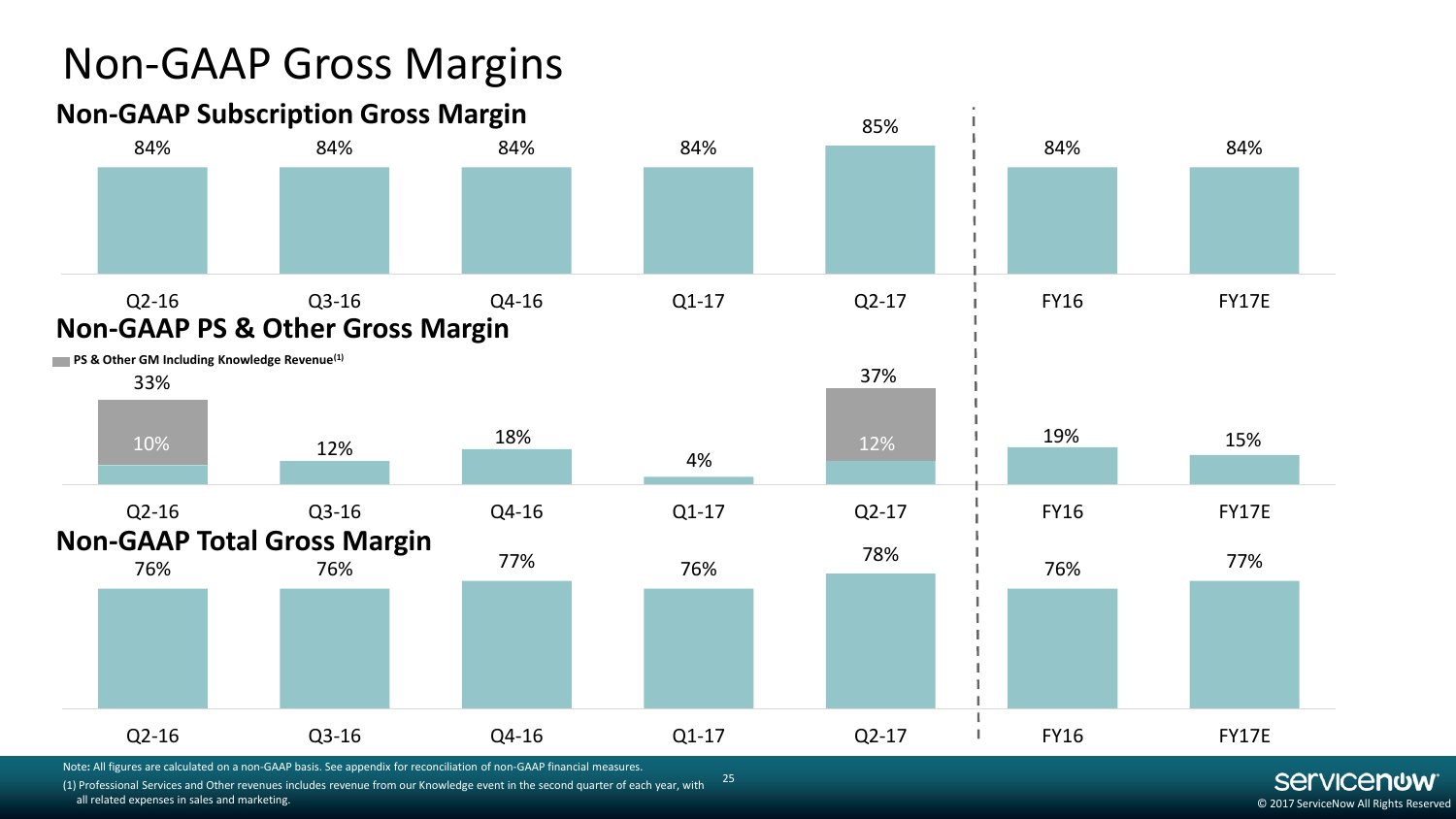# Non-GAAP Gross Margins



© 2017 ServiceNow All Rights Reserved

(1) Professional Services and Other revenues includes revenue from our Knowledge event in the second quarter of each year, with

all related expenses in sales and marketing.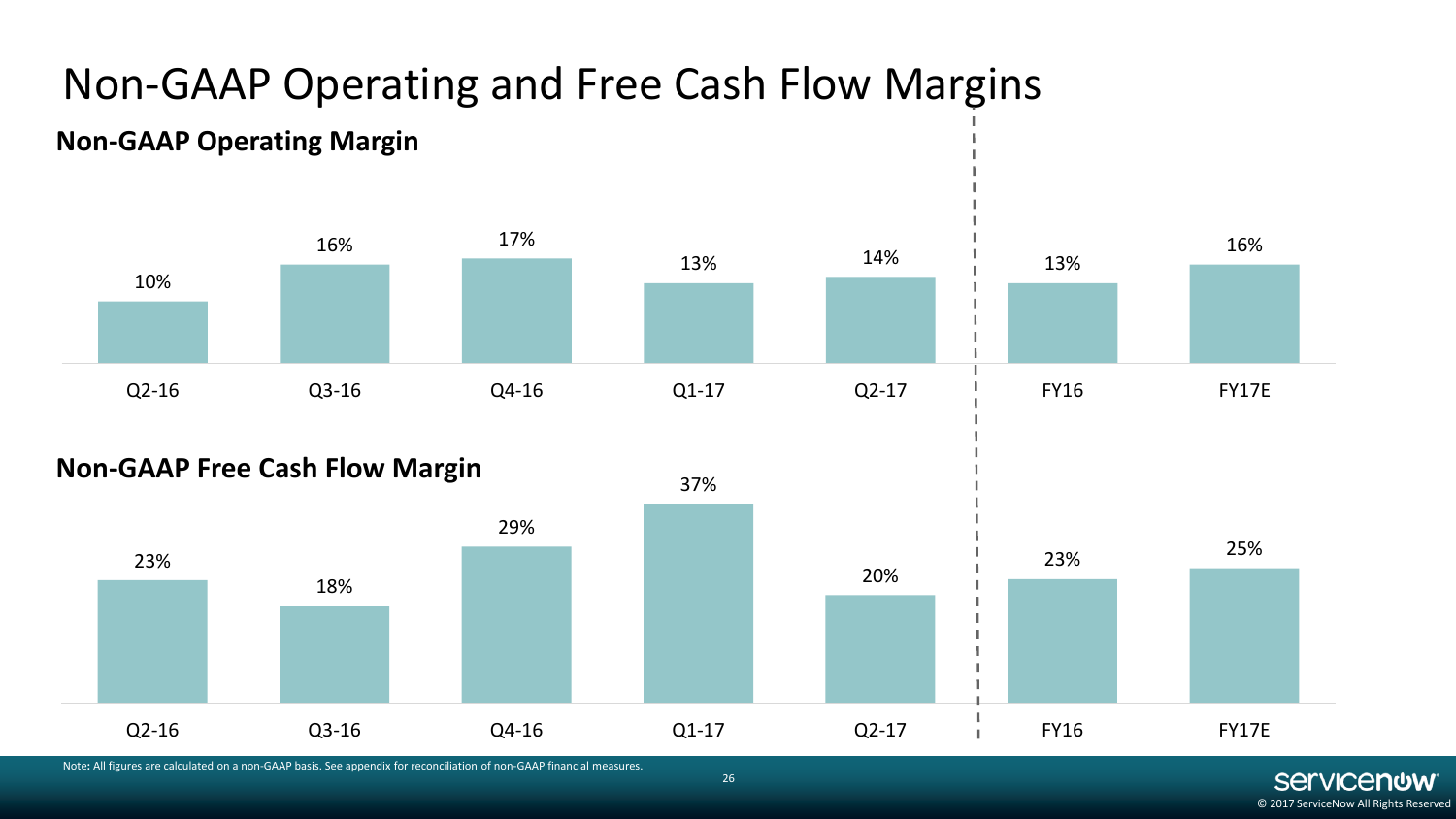

# Non-GAAP Operating and Free Cash Flow Margins

Note**:** All figures are calculated on a non-GAAP basis. See appendix for reconciliation of non-GAAP financial measures.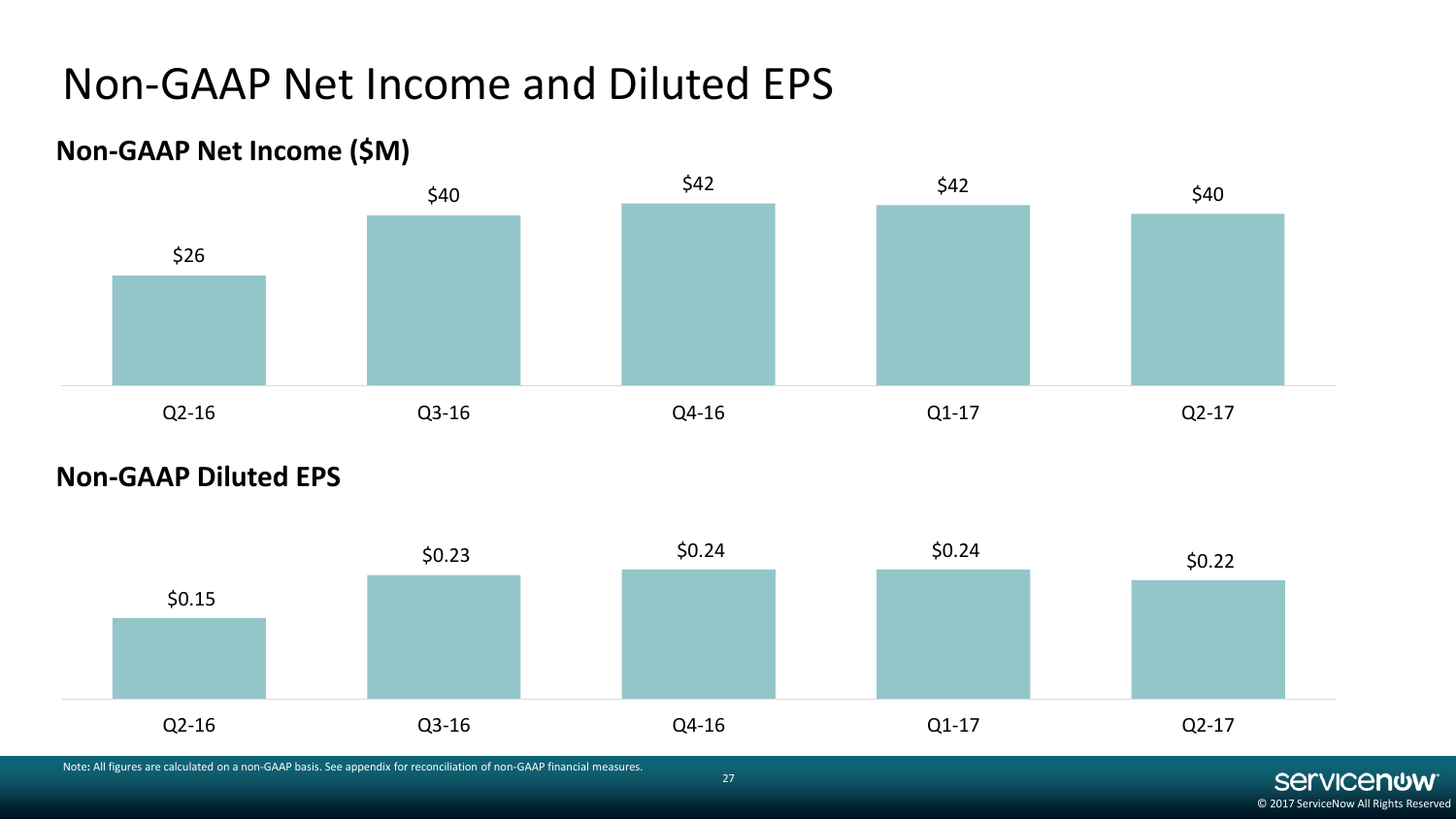### Non-GAAP Net Income and Diluted EPS

# \$26  $\frac{$42}{40}$  \$42 \$40 Q2-16 Q3-16 Q4-16 Q1-17 Q2-17 **Non-GAAP Net Income (\$M)**

**Non-GAAP Diluted EPS**





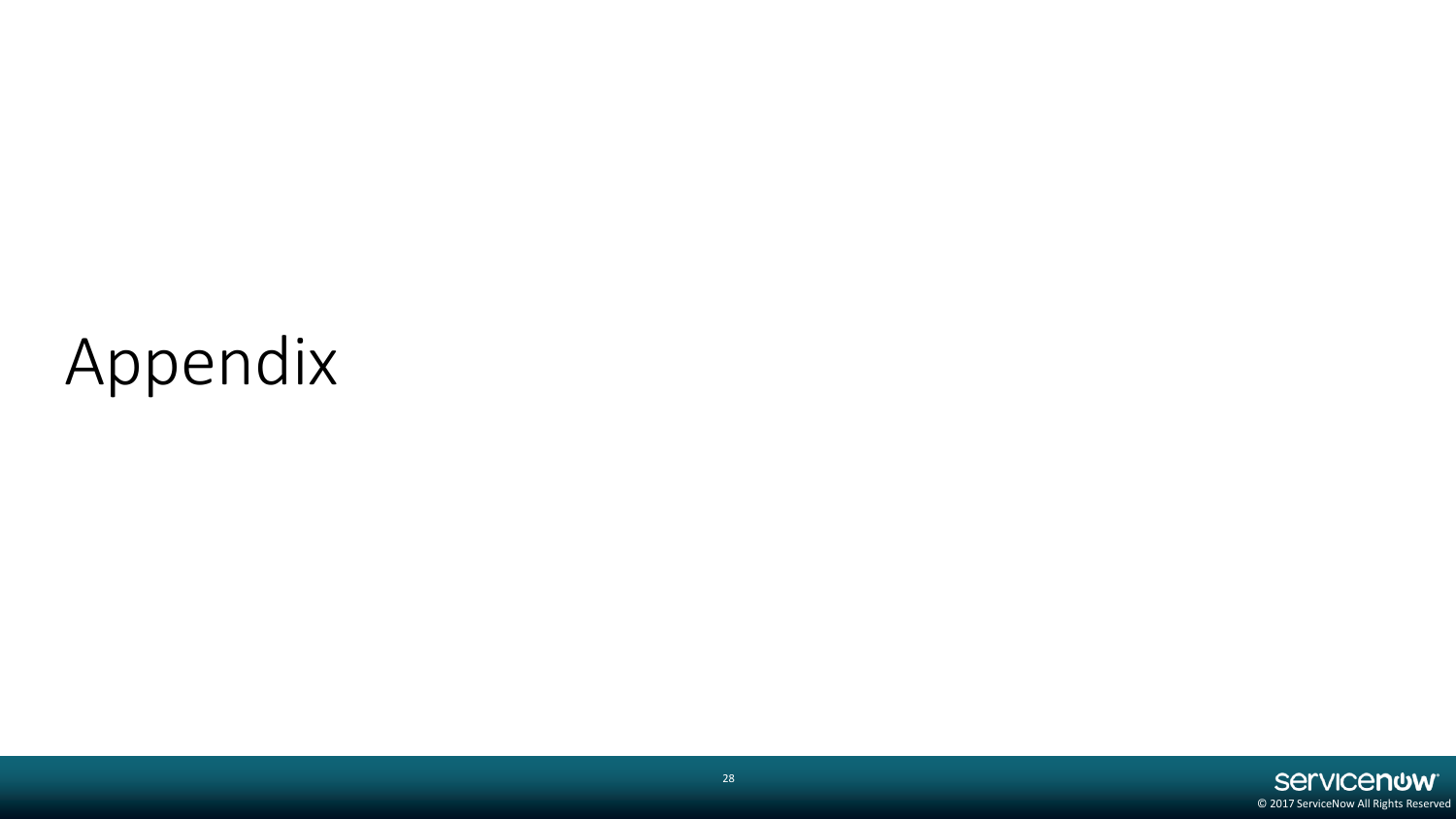# Appendix

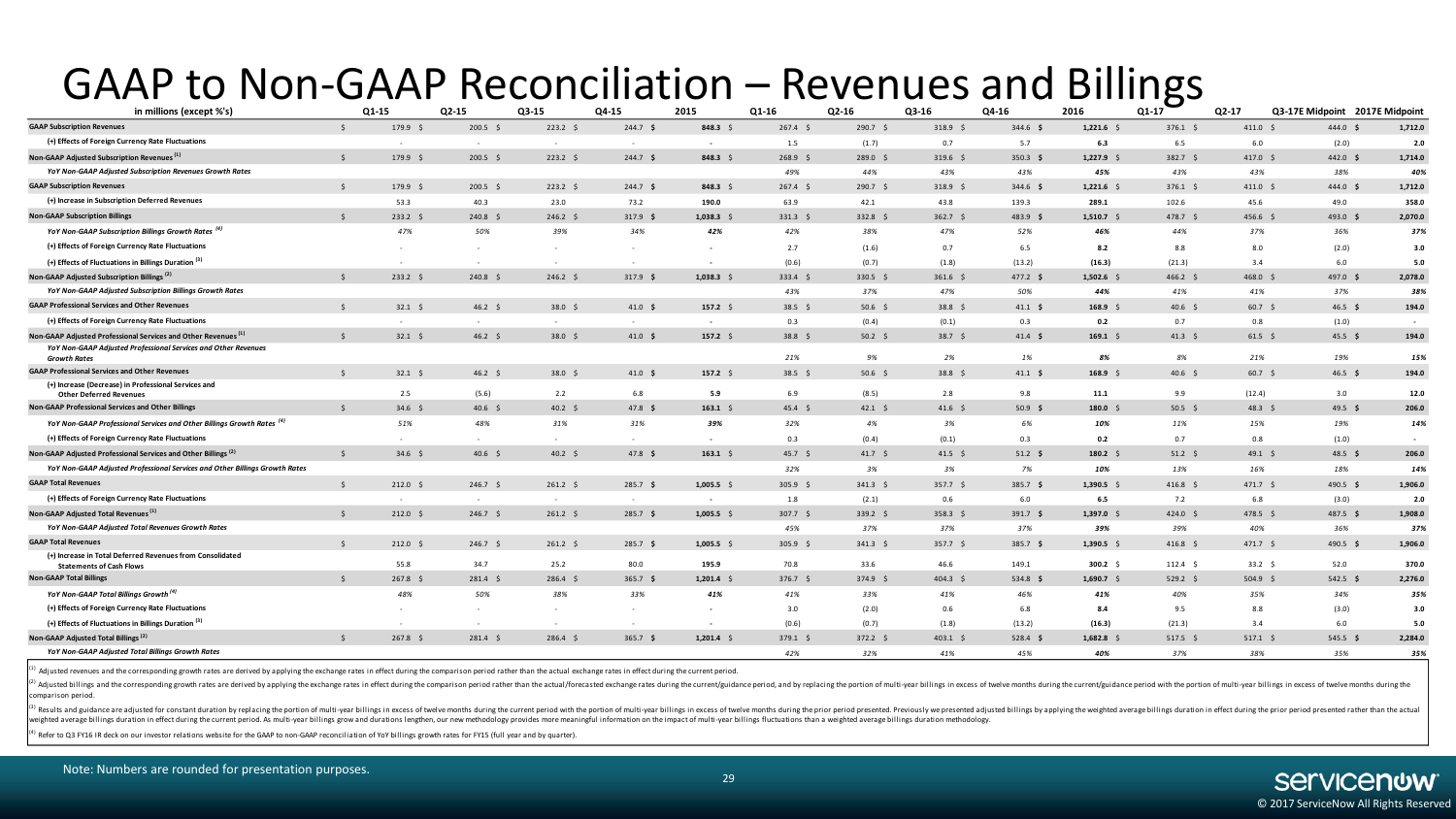#### GAAP to Non-GAAP Reconciliation – Revenues and Billings

| in millions (except %'s)                                                                     |              | Q1-15             | $Q2-15$         | $Q3-15$           | Q4-15              | 2015                   | Q1-16             | $Q2-16$           | Q3-16              | Q4-16             | 2016                | Q1-17            | $Q2-17$           | Q3-17E Midpoint 2017E Midpoint |         |
|----------------------------------------------------------------------------------------------|--------------|-------------------|-----------------|-------------------|--------------------|------------------------|-------------------|-------------------|--------------------|-------------------|---------------------|------------------|-------------------|--------------------------------|---------|
| <b>GAAP Subscription Revenues</b>                                                            | $\zeta$      | 179.9 \$          | $200.5$ \$      | $223.2$ \$        | $244.7$ \$         | 848.3 \$               | $267.4$ \$        | 290.7 \$          | $318.9$ \$         | $344.6$ \$        | $1,221.6$ \$        | $376.1$ \$       | $411.0 \div$      | $444.0$ \$                     | 1,712.0 |
| (+) Effects of Foreign Currency Rate Fluctuations                                            |              |                   |                 | $\sim$            |                    | $\sim$                 | 1.5               | (1.7)             | 0.7                | 5.7               | 6.3                 | 6.5              | 6.0               | (2.0)                          | 2.0     |
| Non-GAAP Adjusted Subscription Revenues <sup>(1)</sup>                                       | S.           | 179.9 \$          | $200.5$ \$      | $223.2$ \$        | $244.7$ \$         | 848.3 \$               | $268.9$ \$        | $289.0$ \$        | $319.6$ \$         | $350.3$ \$        | $1,227.9$ \$        | 382.7 \$         | 417.0 \$          | $442.0$ \$                     | 1,714.0 |
| YoY Non-GAAP Adjusted Subscription Revenues Growth Rates                                     |              |                   |                 |                   |                    |                        | 49%               | 44%               | 43%                | 43%               | 45%                 | 43%              | 43%               | 38%                            | 40%     |
| <b>GAAP Subscription Revenues</b>                                                            | $\sim$       | 179.9 \$          | $200.5$ \$      | $223.2$ \$        | $244.7$ \$         | 848.3 \$               | $267.4$ \$        | 290.7 \$          | 318.9 <sup>5</sup> | $344.6$ \$        | $1,221.6$ \$        | $376.1$ \$       | $411.0 \quad $$   | $444.0$ \$                     | 1,712.0 |
| (+) Increase in Subscription Deferred Revenues                                               |              | 53.3              | 40.3            | 23.0              | 73.2               | 190.0                  | 63.9              | 42.1              | 43.8               | 139.3             | 289.1               | 102.6            | 45.6              | 49.0                           | 358.0   |
| <b>Non-GAAP Subscription Billings</b>                                                        | $\zeta$      | $233.2$ \$        | $240.8$ \$      | $246.2$ \$        | $317.9$ \$         | $1,038.3$ \$           | $331.3$ \$        | 332.8 \$          | $362.7$ \$         | 483.9 \$          | $1,510.7$ \$        | 478.7 \$         | 456.6 \$          | $493.0$ \$                     | 2,070.0 |
| YoY Non-GAAP Subscription Billings Growth Rates <sup>(4)</sup>                               |              | 47%               | 50%             | 39%               | 34%                | 42%                    | 42%               | 38%               | 47%                | 52%               | 46%                 | 44%              | 37%               | 36%                            | 37%     |
| (+) Effects of Foreign Currency Rate Fluctuations                                            |              |                   |                 | $\sim$            |                    | $\sim$                 | 2.7               | (1.6)             | 0.7                | 6.5               | 8.2                 | 8.8              | 8.0               | (2.0)                          | 3.0     |
| (+) Effects of Fluctuations in Billings Duration <sup>(3)</sup>                              |              |                   |                 |                   |                    |                        | (0.6)             | (0.7)             | (1.8)              | (13.2)            | (16.3)              | (21.3)           | 3.4               | 6.0                            | 5.0     |
| Non-GAAP Adjusted Subscription Billings <sup>(2)</sup>                                       |              | $233.2$ \$        | $240.8$ \$      | $246.2$ \$        | $317.9$ \$         | $1,038.3$ \$           | 333.4 \$          | $330.5$ \$        | $361.6$ \$         | $477.2$ \$        | $1,502.6$ \$        | 466.2 \$         | 468.0 \$          | 497.0 \$                       | 2,078.0 |
| YoY Non-GAAP Adjusted Subscription Billings Growth Rates                                     |              |                   |                 |                   |                    |                        | 43%               | 37%               | 47%                | 50%               | 44%                 | 41%              | 41%               | 37%                            | 38%     |
| <b>GAAP Professional Services and Other Revenues</b>                                         | $\mathsf{S}$ | $32.1\frac{1}{2}$ | 46.2 $\sqrt{5}$ | $38.0\frac{2}{3}$ | 41.0 \$            | 157.2 $\hat{S}$        | $38.5\frac{2}{3}$ | 50.6 <sup>5</sup> | $38.8\frac{1}{5}$  | $41.1\frac{1}{2}$ | 168.9 \$            | $40.6$ \$        | 60.7 <sup>5</sup> | 46.5 \$                        | 194.0   |
| (+) Effects of Foreign Currency Rate Fluctuations                                            |              | $\sim$            | $\sim$          | $\sim$            | $\sim$ $-$         | $\sim$                 | 0.3               | (0.4)             | (0.1)              | 0.3               | 0.2                 | 0.7              | 0.8               | (1.0)                          | $\sim$  |
| Non-GAAP Adjusted Professional Services and Other Revenues <sup>(1)</sup>                    | $\mathsf{S}$ | $32.1\frac{1}{2}$ | 46.2 \$         | $38.0\frac{2}{3}$ | 41.0 \$            | 157.2 $\frac{1}{2}$    | $38.8\frac{1}{5}$ | $50.2 \quad $$    | $38.7\frac{2}{9}$  | $41.4$ \$         | $169.1$ \$          | $41.3$ \$        | $61.5$ \$         | 45.5 \$                        | 194.0   |
| YoY Non-GAAP Adjusted Professional Services and Other Revenues<br><b>Growth Rates</b>        |              |                   |                 |                   |                    |                        | 21%               | 9%                | 2%                 | 1%                | 8%                  | 8%               | 21%               | 19%                            | 15%     |
| <b>GAAP Professional Services and Other Revenues</b>                                         |              | $32.1\frac{1}{5}$ | 46.2 $\sqrt{5}$ | $38.0\frac{2}{3}$ | 41.0 \$            | $157.2 \quad \text{S}$ | $38.5\frac{2}{3}$ | $50.6$ \$         | $38.8\frac{1}{5}$  | $41.1 \;$ \$      | 168.9 \$            | $40.6$ \$        | 60.7 <sup>5</sup> | 46.5 \$                        | 194.0   |
| (+) Increase (Decrease) in Professional Services and<br><b>Other Deferred Revenues</b>       |              | 2.5               | (5.6)           | 2.2               | 6.8                | 5.9                    | 6.9               | (8.5)             | 2.8                | 9.8               | 11.1                | 9.9              | (12.4)            | 3.0                            | 12.0    |
| Non-GAAP Professional Services and Other Billings                                            |              | $34.6$ \$         | 40.6 \$         | $40.2 \quad$ \$   | 47.8 \$            | $163.1$ \$             | $45.4\frac{1}{5}$ | 42.1 S            | $41.6$ \$          | $50.9$ \$         | $180.0$ \$          | $50.5$ \$        | $48.3\quad$       | 49.5 \$                        | 206.0   |
| YoY Non-GAAP Professional Services and Other Billings Growth Rates <sup>(4)</sup>            |              | 51%               | 48%             | 31%               | 31%                | 39%                    | 32%               | 4%                | 3%                 | 6%                | 10%                 | 11%              | 15%               | 19%                            | 14%     |
| (+) Effects of Foreign Currency Rate Fluctuations                                            |              | $\sim$            | $\sim$          | $\sim$            | $\sim$             | $\sim$                 | 0.3               | (0.4)             | (0.1)              | 0.3               | 0.2                 | 0.7              | 0.8               | (1.0)                          | $\sim$  |
| Non-GAAP Adjusted Professional Services and Other Billings <sup>(2)</sup>                    |              | $34.6$ \$         | 40.6 \$         | $40.2 \quad $$    | $47.8$ \$          | $163.1 \quad $$        | 45.7 <sup>5</sup> | 41.7 <sup>5</sup> | 41.5 \$            | $51.2$ \$         | 180.2 $\frac{1}{2}$ | $51.2$ \$        | $49.1\frac{1}{2}$ | 48.5 \$                        | 206.0   |
| YoY Non-GAAP Adjusted Professional Services and Other Billings Growth Rates                  |              |                   |                 |                   |                    |                        | 32%               | 3%                | 3%                 | 7%                | 10%                 | 13%              | 16%               | 18%                            | 14%     |
| <b>GAAP Total Revenues</b>                                                                   | $\zeta$      | $212.0$ \$        | 246.7 S         | $261.2 \quad$     | $285.7$ \$         | $1,005.5$ \$           | $305.9$ \$        | $341.3$ \$        | $357.7$ \$         | 385.7 \$          | $1,390.5$ \$        | 416.8 \$         | $471.7$ \$        | 490.5 \$                       | 1,906.0 |
| (+) Effects of Foreign Currency Rate Fluctuations                                            |              |                   |                 | $\sim$            | $\sim$             | $\sim$                 | 1.8               | (2.1)             | 0.6                | 6.0               | 6.5                 | 7.2              | 6.8               | (3.0)                          | 2.0     |
| Non-GAAP Adjusted Total Revenues <sup>(1)</sup>                                              | $\zeta$      | $212.0$ \$        | $246.7$ \$      | $261.2 \quad$     | 285.7 \$           | $1,005.5$ \$           | $307.7$ \$        | 339.2 \$          | $358.3$ \$         | 391.7 \$          | $1,397.0$ \$        | 424.0 \$         | 478.5 \$          | 487.5 \$                       | 1,908.0 |
| YoY Non-GAAP Adjusted Total Revenues Growth Rates                                            |              |                   |                 |                   |                    |                        | 45%               | 37%               | 37%                | 37%               | 39%                 | 39%              | 40%               | 36%                            | 37%     |
| <b>GAAP Total Revenues</b>                                                                   | Ŝ.           | $212.0$ \$        | $246.7$ \$      | $261.2 \div$      | 285.7 \$           | $1,005.5$ \$           | $305.9$ \$        | $341.3$ \$        | $357.7$ \$         | 385.7 \$          | $1,390.5$ \$        | 416.8 \$         | $471.7$ \$        | 490.5 \$                       | 1,906.0 |
| (+) Increase in Total Deferred Revenues from Consolidated<br><b>Statements of Cash Flows</b> |              | 55.8              | 34.7            | 25.2              | 80.0               | 195.9                  | 70.8              | 33.6              | 46.6               | 149.1             | $300.2 \quad$       | $112.4 \quad$ \$ | $33.2 \quad$ \$   | 52.0                           | 370.0   |
| <b>Non-GAAP Total Billings</b>                                                               | $\zeta$      | $267.8$ \$        | $281.4$ \$      | $286.4$ \$        | 365.7 <sup>6</sup> | $1,201.4$ \$           | $376.7$ \$        | 374.9 \$          | $404.3$ \$         | 534.8 \$          | $1,690.7$ \$        | $529.2$ \$       | $504.9$ \$        | $542.5$ \$                     | 2,276.0 |
| YoY Non-GAAP Total Billings Growth <sup>(4)</sup>                                            |              | 48%               | 50%             | 38%               | 33%                | 41%                    | 41%               | 33%               | 41%                | 46%               | 41%                 | 40%              | 35%               | 34%                            | 35%     |
| (+) Effects of Foreign Currency Rate Fluctuations                                            |              |                   |                 | $\sim$            |                    | $\sim$                 | 3.0               | (2.0)             | 0.6                | 6.8               | 8.4                 | 9.5              | 8.8               | (3.0)                          | 3.0     |
| (+) Effects of Fluctuations in Billings Duration <sup>(3)</sup>                              |              |                   |                 | $\sim$            |                    | $\sim$                 | (0.6)             | (0.7)             | (1.8)              | (13.2)            | (16.3)              | (21.3)           | 3.4               | 6.0                            | 5.0     |
| Non-GAAP Adjusted Total Billings <sup>(2)</sup>                                              | $\mathsf{S}$ | $267.8$ \$        | $281.4 \quad $$ | $286.4$ \$        | 365.7 \$           | $1,201.4$ \$           | 379.1 \$          | $372.2$ \$        | $403.1$ \$         | $528.4$ \$        | $1,682.8$ \$        | 517.5 \$         | $517.1$ \$        | $545.5$ \$                     | 2,284.0 |
| YoY Non-GAAP Adjusted Total Billings Growth Rates                                            |              |                   |                 |                   |                    |                        | 42%               | 32%               | 41%                | 45%               | 40%                 | 37%              | 38%               | 35%                            | 35%     |

Adjusted revenues and the corresponding growth rates are derived by applying the exchange rates in effect during the comparison period rather than the actual exchange rates in effect during the current period.

(2) Adjusted billings and the corresponding growth rates are derived by applying the exchange rates in effect during the comparison period rather than the actual/forecasted exchange rates during the comparison period, and comparison period.

(3) Results and guidance are adjusted for constant duration by replacing the portion of multi-year billings in excess of twelve months during the current period with the portion of multi-year billings in excess of twelve m weighted average billings duration in effect during the current period. As multi-year billings grow and durations lengthen, our new methodology provides more meaningful information on the impact of multi-year billings fluc

Refer to Q3 FY16 IR deck on our investor relations website for the GAAP to non-GAAP reconciliation of YoY billings growth rates for FY15 (full year and by quarter).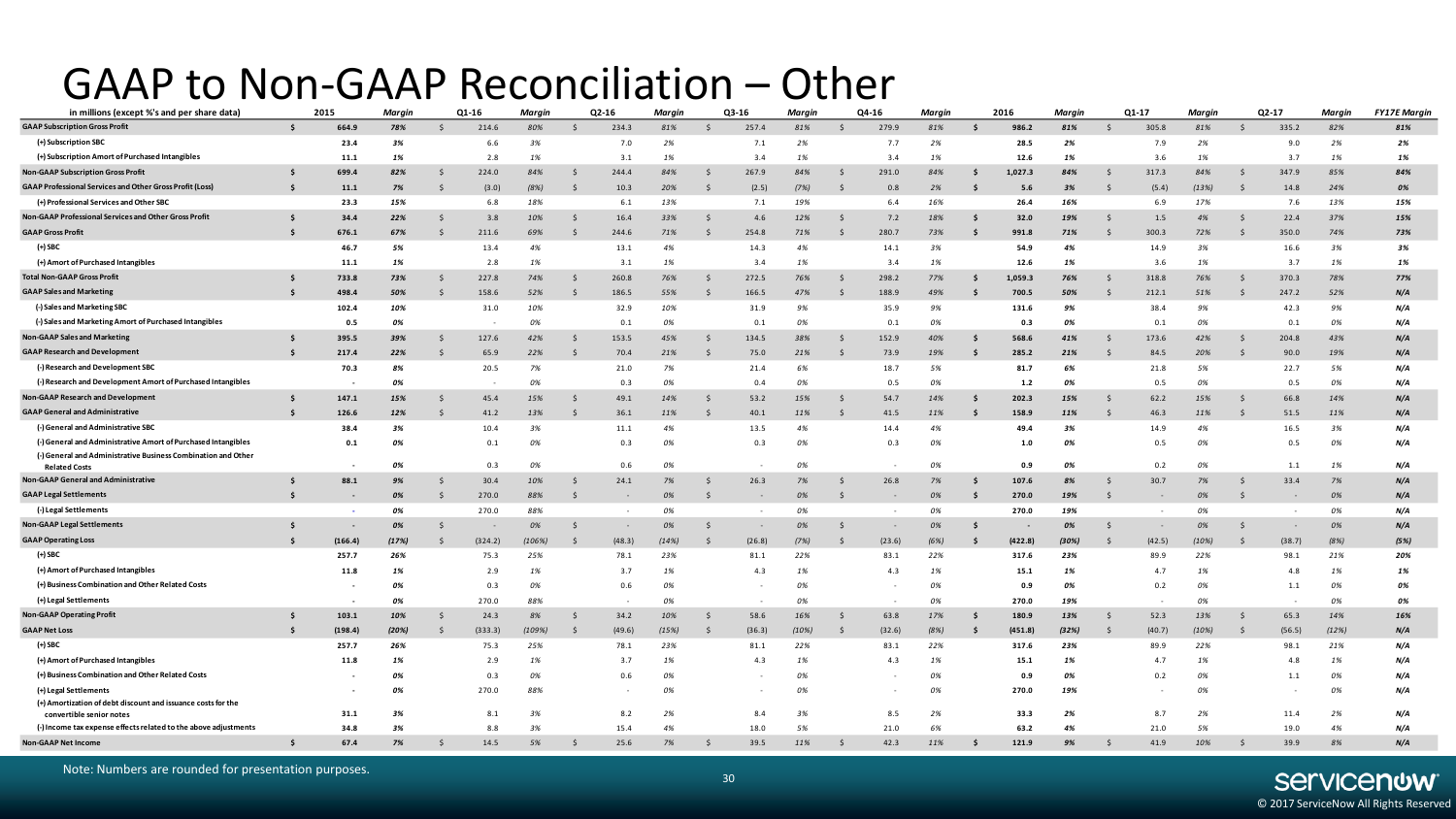#### GAAP to Non-GAAP Reconciliation – Other

| in millions (except %'s and per share data)                        |     | 2015             | Margin   |    | Q1-16           | Margin        |    | Q2-16          | Margin       |              | Q3-16                    | Margin      |               | Q4-16                    | Margin      |     | 2016             | Margin       |    | Q1-17                            | Margin       |                    | $Q2-17$        | <b>Margin</b> | <b>FY17E Margin</b> |
|--------------------------------------------------------------------|-----|------------------|----------|----|-----------------|---------------|----|----------------|--------------|--------------|--------------------------|-------------|---------------|--------------------------|-------------|-----|------------------|--------------|----|----------------------------------|--------------|--------------------|----------------|---------------|---------------------|
| <b>GAAP Subscription Gross Profit</b>                              | Ŝ.  | 664.9            | 78%      | S. | 214.6           | 80%           |    | 234.3          | 81%          | S.           | 257.4                    | 81%         | Ŝ             | 279.9                    | 81%         | -S  | 986.2            | 81%          | S. | 305.8                            | 81%          | Ŝ.                 | 335.2          | 82%           | 81%                 |
| (+) Subscription SBC                                               |     | 23.4             | 3%       |    | 6.6             | 3%            |    | 7.0            | 2%           |              | 7.1                      | 2%          |               | 7.7                      | 2%          |     | 28.5             | 2%           |    | 7.9                              | 2%           |                    | 9.0            | 2%            | 2%                  |
| (+) Subscription Amort of Purchased Intangibles                    |     | 11.1             | 1%       |    | 2.8             | 1%            |    | 3.1            | 1%           |              | 3.4                      | 1%          |               | 3.4                      | 1%          |     | 12.6             | 1%           |    | 3.6                              | 1%           |                    | 3.7            | 1%            | 1%                  |
| <b>Non-GAAP Subscription Gross Profit</b>                          |     | 699.4            | 82%      | -S | 224.0           | 84%           |    | 244.4          | 84%          |              | 267.9                    | 84%         | <sup>\$</sup> | 291.0                    | 84%         | -S  | 1,027.3          | 84%          |    | 317.3                            | 84%          | -Ś                 | 347.9          | 85%           | 84%                 |
| <b>GAAP Professional Services and Other Gross Profit (Loss)</b>    | -\$ | 11.1             | 7%       | -S | (3.0)           | (8%)          |    | 10.3           | 20%          |              | (2.5)                    | (7%)        | S             | 0.8                      | 2%          | -S  | 5.6              | 3%           |    | (5.4)                            | (13%)        | - S                | 14.8           | 24%           | 0%                  |
| (+) Professional Services and Other SBC                            |     | 23.3             | 15%      |    | 6.8             | 18%           |    | 6.1            | 13%          |              | 7.1                      | 19%         |               | 6.4                      | 16%         |     | 26.4             | 16%          |    | 6.9                              | 17%          |                    | 7.6            | 13%           | 15%                 |
| Non-GAAP Professional Services and Other Gross Profit              | Ŝ.  | 34.4             | 22%      | Ŝ. | 3.8             | 10%           |    | 16.4           | 33%          |              | 4.6                      | 12%         | <sup>\$</sup> | 7.2                      | 18%         | -Ś  | 32.0             | 19%          |    | 1.5                              | 4%           |                    | 22.4           | 37%           | 15%                 |
| <b>GAAP Gross Profit</b>                                           | - Ś | 676.1            | 67%      | -S | 211.6           | 69%           |    | 244.6          | 71%          |              | 254.8                    | 71%         | <sup>\$</sup> | 280.7                    | 73%         | -S  | 991.8            | 71%          |    | 300.3                            | 72%          | -Ś                 | 350.0          | 74%           | 73%                 |
| (+) SBC                                                            |     | 46.7             | 5%       |    | 13.4            | 4%            |    | 13.1           | 4%           |              | 14.3                     | 4%          |               | 14.1                     | 3%          |     | 54.9             | 4%           |    | 14.9                             | 3%           |                    | 16.6           | 3%            | 3%                  |
| (+) Amort of Purchased Intangibles                                 |     | 11.1             | 1%       |    | 2.8             | 1%            |    | 3.1            | 1%           |              | 3.4                      | 1%          |               | 3.4                      | 1%          |     | 12.6             | 1%           |    | 3.6                              | 1%           |                    | 3.7            | 1%            | 1%                  |
| <b>Total Non-GAAP Gross Profit</b>                                 |     | 733.8            | 73%      | -S | 227.8           | 74%           |    | 260.8          | 76%          |              | 272.5                    | 76%         | <sup>\$</sup> | 298.2                    | 77%         | -S  | 1,059.3          | 76%          |    | 318.8                            | 76%          | Ŝ.                 | 370.3          | 78%           | 77%                 |
| <b>GAAP Sales and Marketing</b>                                    | - Ś | 498.4            | 50%      | -Ś | 158.6           | 52%           |    | 186.5          | 55%          |              | 166.5                    | 47%         | <sup>\$</sup> | 188.9                    | 49%         | -Ś  | 700.5            | 50%          |    | 212.1                            | 51%          | Ŝ.                 | 247.2          | 52%           | N/A                 |
| (-) Sales and Marketing SBC                                        |     | 102.4            | 10%      |    | 31.0            | 10%           |    | 32.9           | 10%          |              | 31.9                     | 9%          |               | 35.9                     | 9%          |     | 131.6            | 9%           |    | 38.4                             | 9%           |                    | 42.3           | 9%            | N/A                 |
| (-) Sales and Marketing Amort of Purchased Intangibles             |     | 0.5              | 0%       |    |                 | 0%            |    | 0.1            | 0%           |              | 0.1                      | 0%          |               | 0.1                      | 0%          |     | 0.3              | 0%           |    | 0.1                              | 0%           |                    | 0.1            | 0%            | N/A                 |
| <b>Non-GAAP Sales and Marketing</b>                                |     | 395.5            | 39%      | -S | 127.6           | 42%           |    | 153.5          | 45%          | -S           | 134.5                    | 38%         | S             | 152.9                    | 40%         | -S  | 568.6            | 41%          |    | 173.6                            | 42%          | <sub>S</sub>       | 204.8          | 43%           | N/A                 |
| <b>GAAP Research and Development</b>                               | \$  | 217.4            | 22%      |    | 65.9            | 22%           |    | 70.4           | 21%          |              | 75.0                     | 21%         | Ś             | 73.9                     | 19%         | -S  | 285.2            | 21%          |    | 84.5                             | 20%          | Ŝ.                 | 90.0           | 19%           | N/A                 |
| (-) Research and Development SBC                                   |     | 70.3             | 8%       |    | 20.5            | 7%            |    | 21.0           | 7%           |              | 21.4                     | 6%          |               | 18.7                     | 5%          |     | 81.7             | 6%           |    | 21.8                             | 5%           |                    | 22.7           | 5%            | N/A                 |
| (-) Research and Development Amort of Purchased Intangibles        |     | $\sim$           | 0%       |    |                 | 0%            |    | 0.3            | 0%           |              | 0.4                      | 0%          |               | 0.5                      | 0%          |     | 1.2              | 0%           |    | 0.5                              | 0%           |                    | 0.5            | 0%            | N/A                 |
| Non-GAAP Research and Development                                  | \$. | 147.1            | 15%      | Ŝ. | 45.4            | 15%           | ∣< | 49.1           | 14%          | $\zeta$      | 53.2                     | 15%         | Ś             | 54.7                     | 14%         | -\$ | 202.3            | 15%          |    | 62.2                             | 15%          | S.                 | 66.8           | 14%           | N/A                 |
| <b>GAAP General and Administrative</b>                             | \$  | 126.6            | 12%      | .S | 41.2            | 13%           |    | 36.1           | 11%          |              | 40.1                     | 11%         | <sup>\$</sup> | 41.5                     | 11%         | -\$ | 158.9            | 11%          |    | 46.3                             | 11%          | Ŝ.                 | 51.5           | 11%           | N/A                 |
| (-) General and Administrative SBC                                 |     | 38.4             | 3%       |    | 10.4            | 3%            |    | 11.1           | 4%           |              | 13.5                     | 4%          |               | 14.4                     | 4%          |     | 49.4             | 3%           |    | 14.9                             | 4%           |                    | 16.5           | 3%            | N/A                 |
| (-) General and Administrative Amort of Purchased Intangibles      |     | 0.1              | 0%       |    | 0.1             | 0%            |    | 0.3            | 0%           |              | 0.3                      | 0%          |               | 0.3                      | 0%          |     | 1.0              | 0%           |    | 0.5                              | 0%           |                    | 0.5            | 0%            | N/A                 |
| (-) General and Administrative Business Combination and Other      |     |                  |          |    |                 |               |    |                |              |              |                          |             |               |                          |             |     |                  |              |    |                                  |              |                    |                |               |                     |
| <b>Related Costs</b><br><b>Non-GAAP General and Administrative</b> | \$. |                  | 0%       |    | 0.3             | 0%            |    | 0.6            | 0%           | $\mathsf{S}$ | $\sim$                   | 0%          |               | - 1                      | 0%          |     | 0.9              | 0%           |    | 0.2                              | 0%           |                    | 1.1            | 1%<br>7%      | N/A                 |
| <b>GAAP Legal Settlements</b>                                      | Ŝ.  | 88.1             | 9%       | .S | 30.4            | 10%           |    | 24.1           | 7%           |              | 26.3                     | 7%          | Ś             | 26.8                     | 7%          | -Ś  | 107.6<br>270.0   | 8%           |    | 30.7                             | 7%           | -Ś                 | 33.4           |               | N/A<br>N/A          |
| (-) Legal Settlements                                              |     |                  | 0%<br>0% |    | 270.0           | 88%<br>88%    |    |                | 0%<br>0%     |              | $\overline{\phantom{a}}$ | 0%<br>0%    | Ś             |                          | 0%<br>0%    | -S  | 270.0            | 19%<br>19%   |    | $\sim$                           | 0%<br>0%     | -Ś                 |                | 0%<br>0%      | N/A                 |
| <b>Non-GAAP Legal Settlements</b>                                  |     |                  | 0%       | -Ś | 270.0           | 0%            |    |                | 0%           |              |                          | 0%          |               |                          | 0%          | .s  |                  | 0%           |    |                                  | 0%           |                    |                | 0%            | N/A                 |
| <b>GAAP Operating Loss</b>                                         | - Ś |                  | (17%)    | -Ś |                 |               |    |                |              |              |                          |             | $\zeta$       |                          |             | -Ś  |                  |              |    |                                  |              | $\dot{\mathbf{S}}$ |                |               |                     |
| $(+)$ SBC                                                          |     | (166.4)<br>257.7 | 26%      |    | (324.2)<br>75.3 | (106%)<br>25% |    | (48.3)<br>78.1 | (14%)<br>23% |              | (26.8)<br>81.1           | (7%)<br>22% |               | (23.6)<br>83.1           | (6%)<br>22% |     | (422.8)<br>317.6 | (30%)<br>23% |    | (42.5)<br>89.9                   | (10%)<br>22% |                    | (38.7)<br>98.1 | (8%)<br>21%   | (5%)<br>20%         |
| (+) Amort of Purchased Intangibles                                 |     |                  |          |    |                 |               |    |                |              |              |                          |             |               |                          | 1%          |     |                  | 1%           |    | 4.7                              |              |                    |                |               | 1%                  |
| (+) Business Combination and Other Related Costs                   |     | 11.8             | 1%<br>0% |    | 2.9<br>0.3      | 1%<br>0%      |    | 3.7<br>0.6     | 1%<br>0%     |              | 4.3                      | 1%<br>0%    |               | 4.3                      | 0%          |     | 15.1<br>0.9      | 0%           |    | 0.2                              | 1%<br>0%     |                    | 4.8<br>1.1     | 1%<br>0%      | 0%                  |
| (+) Legal Settlements                                              |     |                  | 0%       |    | 270.0           | 88%           |    |                | 0%           |              |                          | 0%          |               | $\overline{\phantom{a}}$ | 0%          |     | 270.0            | 19%          |    |                                  | 0%           |                    |                | 0%            | 0%                  |
| <b>Non-GAAP Operating Profit</b>                                   |     | 103.1            | 10%      | -S | 24.3            | 8%            |    | 34.2           | 10%          | -S           | 58.6                     | 16%         | S             | 63.8                     | 17%         | - S | 180.9            | 13%          |    | $\overline{\phantom{a}}$<br>52.3 | 13%          | <sub>S</sub>       | 65.3           | 14%           | 16%                 |
| <b>GAAP Net Loss</b>                                               | - Ś | (198.4)          | (20%)    |    | (333.3)         | (109%)        |    | (49.6)         | (15%)        |              | (36.3)                   | (10%)       | Ś             | (32.6)                   | (8%)        |     | (451.8)          | (32%)        |    | (40.7)                           | (10%)        |                    | (56.5)         | (12%)         | N/A                 |
| (+) SBC                                                            |     | 257.7            | 26%      |    | 75.3            | 25%           |    | 78.1           | 23%          |              | 81.1                     | 22%         |               | 83.1                     | 22%         |     | 317.6            | 23%          |    | 89.9                             | 22%          |                    | 98.1           | 21%           | N/A                 |
| (+) Amort of Purchased Intangibles                                 |     | 11.8             | 1%       |    | 2.9             | 1%            |    | 3.7            | 1%           |              | 4.3                      | 1%          |               | 4.3                      | 1%          |     | 15.1             | 1%           |    | 4.7                              | 1%           |                    | 4.8            | 1%            | N/A                 |
| (+) Business Combination and Other Related Costs                   |     |                  | 0%       |    |                 | 0%            |    | 0.6            | 0%           |              |                          |             |               |                          |             |     |                  | 0%           |    | 0.2                              | 0%           |                    |                |               | N/A                 |
| (+) Legal Settlements                                              |     |                  | 0%       |    | 0.3<br>270.0    | 88%           |    |                | 0%           |              |                          | 0%<br>0%    |               |                          | 0%<br>0%    |     | 0.9<br>270.0     | 19%          |    |                                  | 0%           |                    | 1.1            | 0%<br>0%      | N/A                 |
| (+) Amortization of debt discount and issuance costs for the       |     |                  |          |    |                 |               |    |                |              |              |                          |             |               |                          |             |     |                  |              |    |                                  |              |                    |                |               |                     |
| convertible senior notes                                           |     | 31.1             | 3%       |    | 8.1             | 3%            |    | 8.2            | 2%           |              | 8.4                      | 3%          |               | 8.5                      | 2%          |     | 33.3             | 2%           |    | 8.7                              | 2%           |                    | 11.4           | 2%            | N/A                 |
| (-) Income tax expense effects related to the above adjustments    |     | 34.8             | 3%       |    | 8.8             | 3%            |    | 15.4           | 4%           |              | 18.0                     | 5%          |               | 21.0                     | 6%          |     | 63.2             | 4%           |    | 21.0                             | 5%           |                    | 19.0           | 4%            | N/A                 |
| <b>Non-GAAP Net Income</b>                                         | \$  | 67.4             | 7%       |    | 14.5            | 5%            |    | 25.6           | 7%           |              | 39.5                     | 11%         |               | 42.3                     | 11%         |     | 121.9            | 9%           |    | 41.9                             | 10%          |                    | 39.9           | 8%            | N/A                 |
|                                                                    |     |                  |          |    |                 |               |    |                |              |              |                          |             |               |                          |             |     |                  |              |    |                                  |              |                    |                |               |                     |